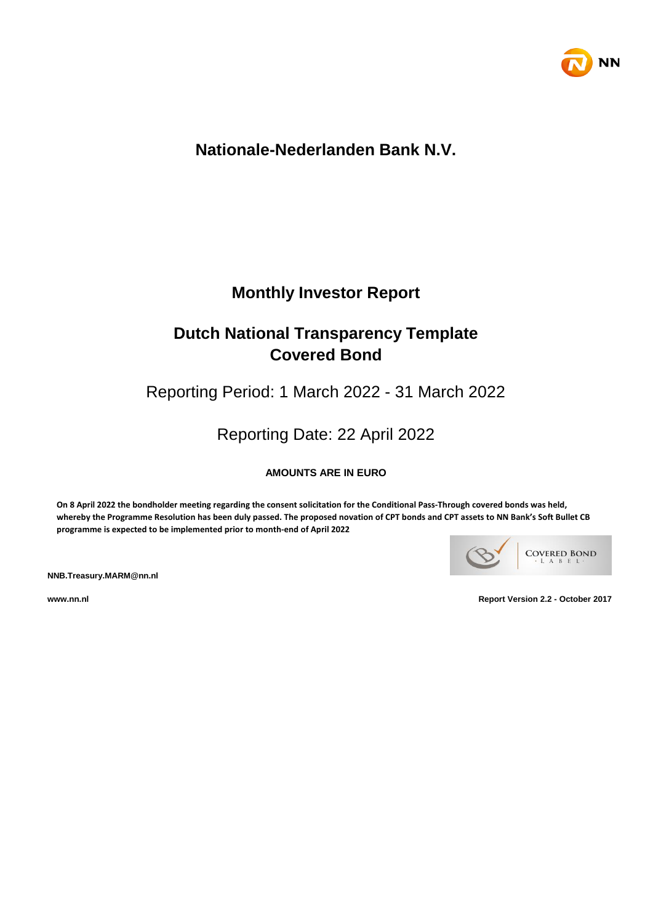

# **Nationale-Nederlanden Bank N.V.**

# **Monthly Investor Report**

# **Dutch National Transparency Template Covered Bond**

Reporting Period: 1 March 2022 - 31 March 2022

Reporting Date: 22 April 2022

**AMOUNTS ARE IN EURO**

**On 8 April 2022 the bondholder meeting regarding the consent solicitation for the Conditional Pass-Through covered bonds was held, whereby the Programme Resolution has been duly passed. The proposed novation of CPT bonds and CPT assets to NN Bank's Soft Bullet CB programme is expected to be implemented prior to month-end of April 2022**



**NNB.Treasury.MARM@nn.nl**

**www.nn.nl Report Version 2.2 - October 2017**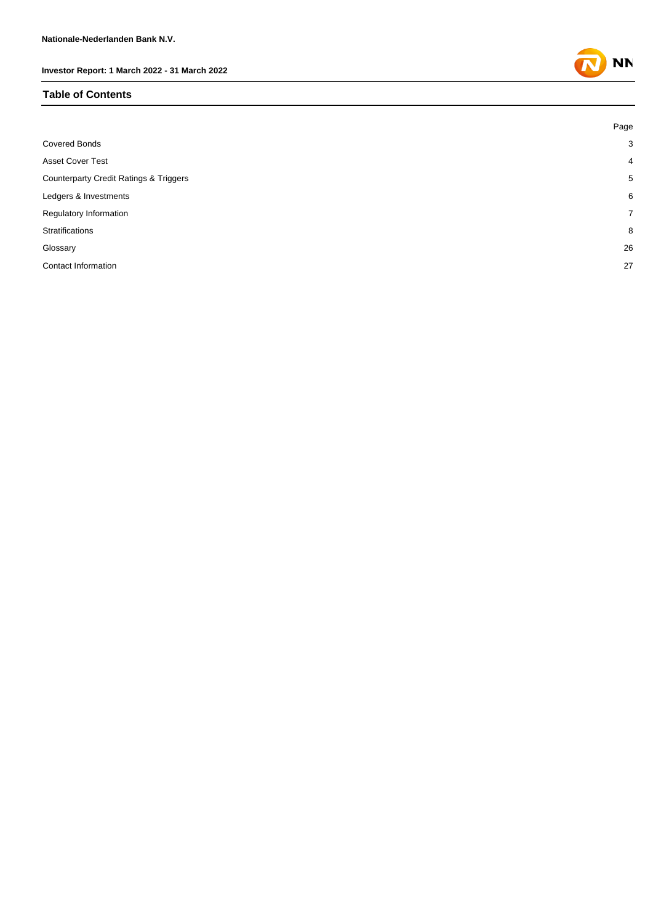#### **Table of Contents**

|                                                   | Page           |
|---------------------------------------------------|----------------|
| <b>Covered Bonds</b>                              | 3              |
| <b>Asset Cover Test</b>                           | $\overline{4}$ |
| <b>Counterparty Credit Ratings &amp; Triggers</b> | 5              |
| Ledgers & Investments                             | 6              |
| Regulatory Information                            | $\overline{7}$ |
| Stratifications                                   | 8              |
| Glossary                                          | 26             |
| Contact Information                               | 27             |

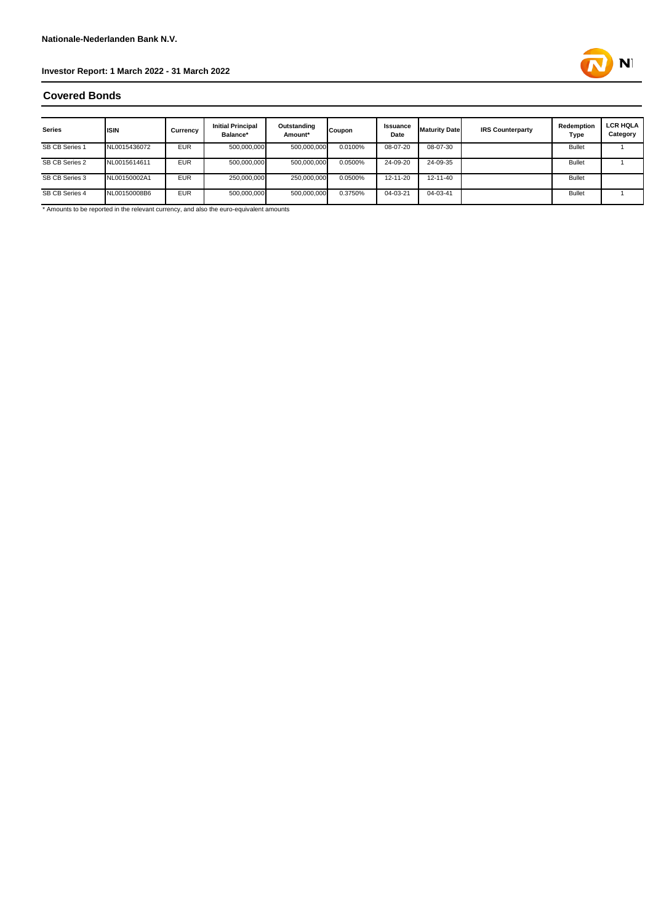

### **Covered Bonds**

| <b>Series</b>  | <b>IISIN</b> | Currency   | <b>Initial Principal</b><br>Balance* | Outstanding<br>Amount* | Coupon  | <b>Issuance</b><br>Date | <b>Maturity Date</b> | <b>IRS Counterparty</b> | Redemption<br>Type | <b>LCR HQLA</b><br>Category |
|----------------|--------------|------------|--------------------------------------|------------------------|---------|-------------------------|----------------------|-------------------------|--------------------|-----------------------------|
| SB CB Series 1 | NL0015436072 | <b>EUR</b> | 500,000,000                          | 500,000,000            | 0.0100% | 08-07-20                | 08-07-30             |                         | <b>Bullet</b>      |                             |
| SB CB Series 2 | NL0015614611 | <b>EUR</b> | 500,000,000                          | 500,000,000            | 0.0500% | 24-09-20                | 24-09-35             |                         | <b>Bullet</b>      |                             |
| SB CB Series 3 | NL00150002A1 | <b>EUR</b> | 250,000,000                          | 250,000,000            | 0.0500% | 12-11-20                | 12-11-40             |                         | <b>Bullet</b>      |                             |
| SB CB Series 4 | NL00150008B6 | <b>EUR</b> | 500,000,000                          | 500,000,000            | 0.3750% | 04-03-21                | 04-03-41             |                         | <b>Bullet</b>      |                             |

\* Amounts to be reported in the relevant currency, and also the euro-equivalent amounts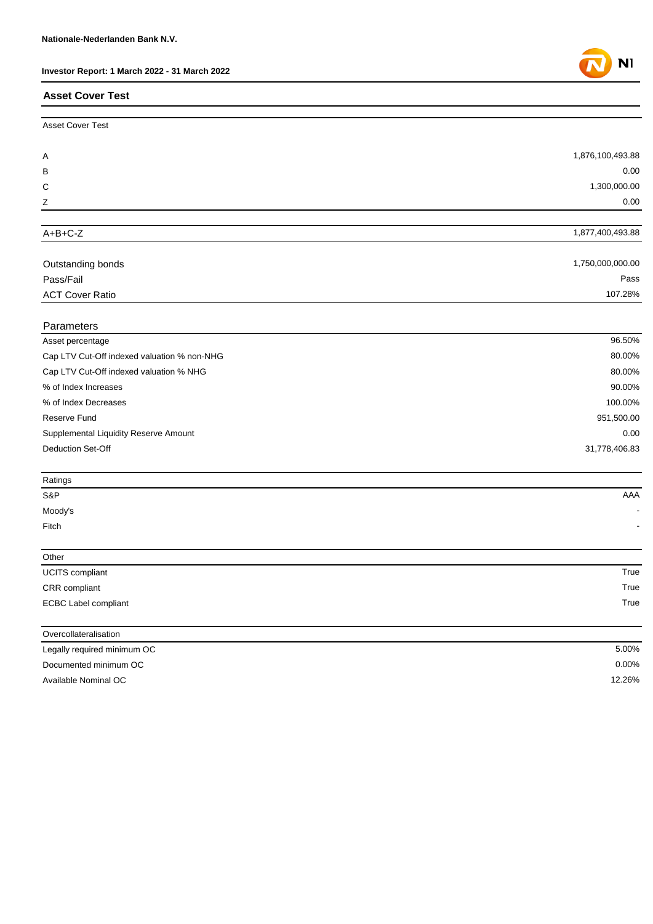### **Asset Cover Test**

| <b>Asset Cover Test</b>                     |                  |
|---------------------------------------------|------------------|
|                                             |                  |
| Α                                           | 1,876,100,493.88 |
| B                                           | 0.00             |
| C                                           | 1,300,000.00     |
| Z                                           | 0.00             |
|                                             |                  |
| $A+B+C-Z$                                   | 1,877,400,493.88 |
|                                             |                  |
| Outstanding bonds                           | 1,750,000,000.00 |
| Pass/Fail                                   | Pass             |
| <b>ACT Cover Ratio</b>                      | 107.28%          |
| Parameters                                  |                  |
| Asset percentage                            | 96.50%           |
| Cap LTV Cut-Off indexed valuation % non-NHG | 80.00%           |
| Cap LTV Cut-Off indexed valuation % NHG     | 80.00%           |
| % of Index Increases                        | 90.00%           |
| % of Index Decreases                        | 100.00%          |
| Reserve Fund                                | 951,500.00       |
| Supplemental Liquidity Reserve Amount       | 0.00             |
| <b>Deduction Set-Off</b>                    | 31,778,406.83    |
|                                             |                  |
| Ratings<br>S&P                              | AAA              |
|                                             |                  |
| Moody's<br>Fitch                            |                  |
|                                             |                  |
| Other                                       |                  |
| UCITS compliant                             | True             |
| CRR compliant                               | True             |
| <b>ECBC Label compliant</b>                 | True             |
| Overcollateralisation                       |                  |
| Legally required minimum OC                 | 5.00%            |
| Documented minimum OC                       | 0.00%            |
| Available Nominal OC                        | 12.26%           |

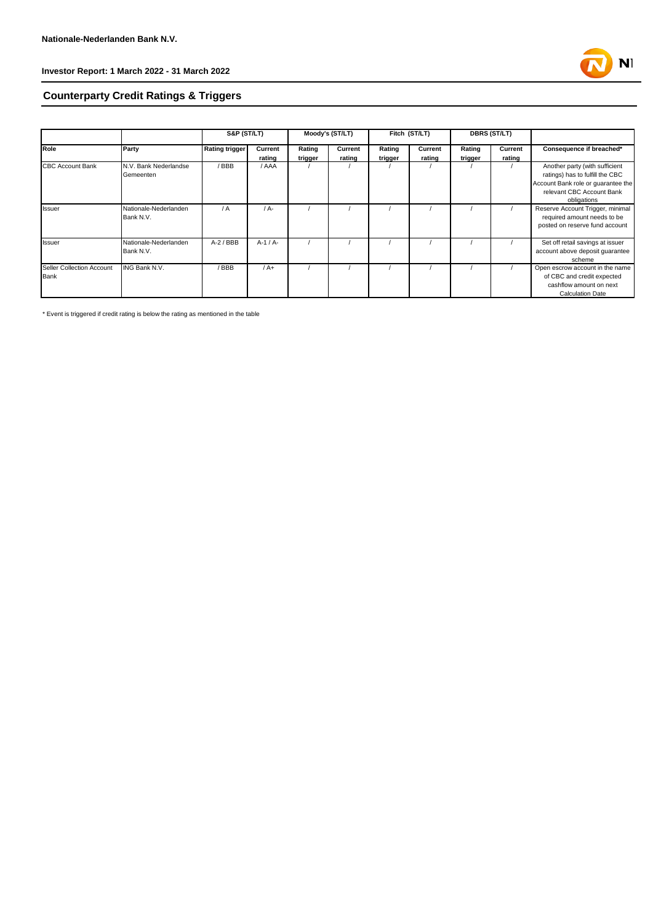

# **Counterparty Credit Ratings & Triggers**

|                           |                       | <b>S&amp;P (ST/LT)</b> |          | Moody's (ST/LT) |         | Fitch (ST/LT) |         | <b>DBRS (ST/LT)</b> |         |                                    |
|---------------------------|-----------------------|------------------------|----------|-----------------|---------|---------------|---------|---------------------|---------|------------------------------------|
| Role                      | Party                 | <b>Rating trigger</b>  | Current  | Rating          | Current | Rating        | Current | Rating              | Current | Consequence if breached*           |
|                           |                       |                        | rating   | trigger         | rating  | trigger       | rating  | trigger             | rating  |                                    |
| <b>CBC Account Bank</b>   | N.V. Bank Nederlandse | /BBB                   | / AAA    |                 |         |               |         |                     |         | Another party (with sufficient     |
|                           | Gemeenten             |                        |          |                 |         |               |         |                     |         | ratings) has to fulfill the CBC    |
|                           |                       |                        |          |                 |         |               |         |                     |         | Account Bank role or quarantee the |
|                           |                       |                        |          |                 |         |               |         |                     |         | relevant CBC Account Bank          |
|                           |                       |                        |          |                 |         |               |         |                     |         | obligations                        |
| <b>Issuer</b>             | Nationale-Nederlanden | $\sqrt{A}$             | $/A -$   |                 |         |               |         |                     |         | Reserve Account Trigger, minimal   |
|                           | Bank N.V.             |                        |          |                 |         |               |         |                     |         | required amount needs to be        |
|                           |                       |                        |          |                 |         |               |         |                     |         | posted on reserve fund account     |
| <b>Issuer</b>             | Nationale-Nederlanden | $A-2$ / BBB            | $A-1/A-$ |                 |         |               |         |                     |         | Set off retail savings at issuer   |
|                           | Bank N.V.             |                        |          |                 |         |               |         |                     |         | account above deposit guarantee    |
|                           |                       |                        |          |                 |         |               |         |                     |         | scheme                             |
| Seller Collection Account | ING Bank N.V.         | /BBB                   | $/A+$    |                 |         |               |         |                     |         | Open escrow account in the name    |
| Bank                      |                       |                        |          |                 |         |               |         |                     |         | of CBC and credit expected         |
|                           |                       |                        |          |                 |         |               |         |                     |         | cashflow amount on next            |
|                           |                       |                        |          |                 |         |               |         |                     |         | <b>Calculation Date</b>            |

\* Event is triggered if credit rating is below the rating as mentioned in the table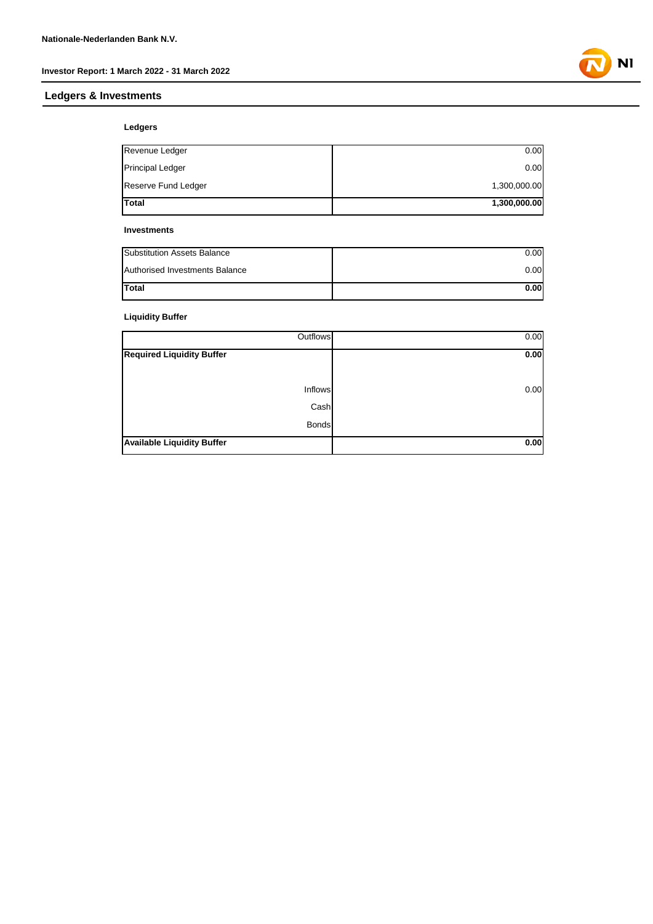# **Ledgers & Investments**

**Ledgers**

| Revenue Ledger          | 0.00         |
|-------------------------|--------------|
| <b>Principal Ledger</b> | 0.00         |
| Reserve Fund Ledger     | 1,300,000.00 |
| <b>Total</b>            | 1,300,000.00 |

#### **Investments**

| Substitution Assets Balance           | 0.00  |
|---------------------------------------|-------|
| <b>Authorised Investments Balance</b> | 0.00  |
| <b>Total</b>                          | 0.001 |

### **Liquidity Buffer**

| Outflows                          | 0.00 |
|-----------------------------------|------|
| <b>Required Liquidity Buffer</b>  | 0.00 |
|                                   |      |
| Inflows                           | 0.00 |
| Cash                              |      |
| <b>Bonds</b>                      |      |
| <b>Available Liquidity Buffer</b> | 0.00 |

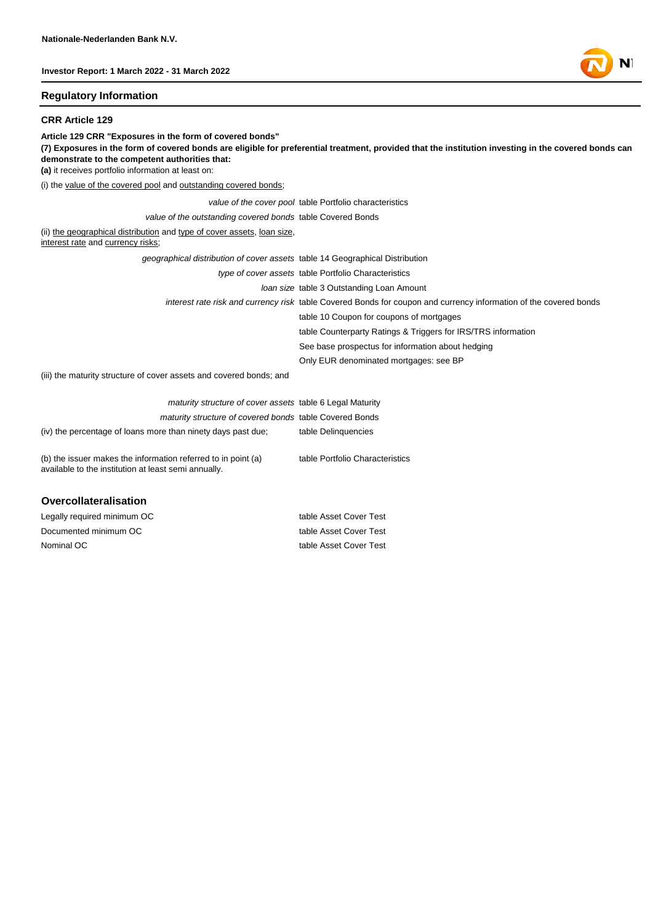#### **Regulatory Information**

#### **CRR Article 129**

**Article 129 CRR "Exposures in the form of covered bonds" (7) Exposures in the form of covered bonds are eligible for preferential treatment, provided that the institution investing in the covered bonds can demonstrate to the competent authorities that: (a)** it receives portfolio information at least on: (i) the value of the covered pool and outstanding covered bonds; *value of the cover pool* table Portfolio characteristics *value of the outstanding covered bonds* table Covered Bonds (ii) the geographical distribution and type of cover assets, loan size, interest rate and currency risks; *geographical distribution of cover assets* table 14 Geographical Distribution *type of cover assets* table Portfolio Characteristics *loan size* table 3 Outstanding Loan Amount *interest rate risk and currency risk* table Covered Bonds for coupon and currency information of the covered bonds table 10 Coupon for coupons of mortgages table Counterparty Ratings & Triggers for IRS/TRS information See base prospectus for information about hedging Only EUR denominated mortgages: see BP (iii) the maturity structure of cover assets and covered bonds; and *maturity structure of cover assets* table 6 Legal Maturity *maturity structure of covered bonds* table Covered Bonds (iv) the percentage of loans more than ninety days past due; table Delinquencies (b) the issuer makes the information referred to in point (a) available to the institution at least semi annually. table Portfolio Characteristics

#### **Overcollateralisation**

Nominal OC table Asset Cover Test Legally required minimum OC table Asset Cover Test Documented minimum OC table Asset Cover Test

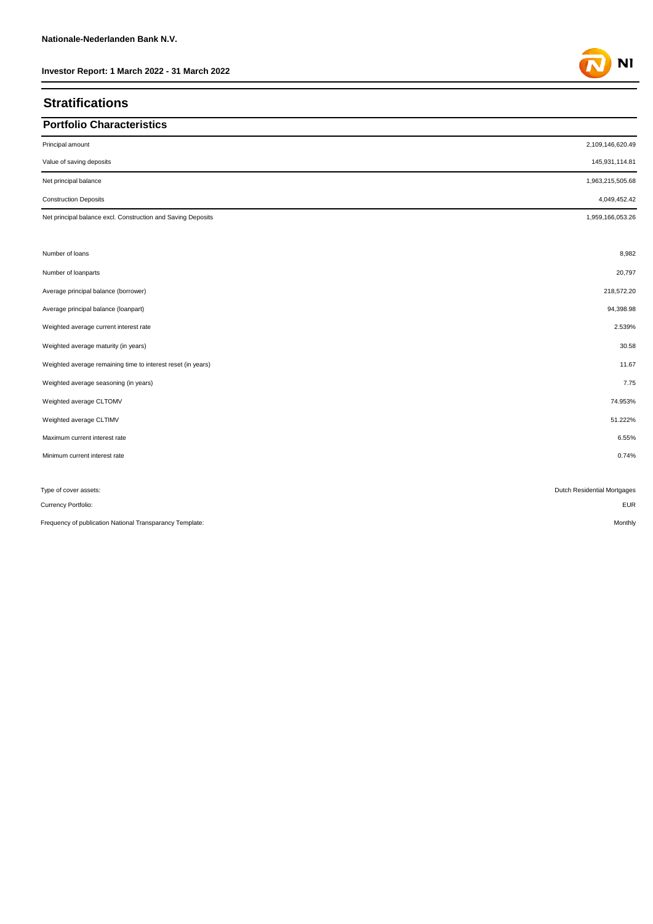### **Stratifications**

### **Portfolio Characteristics**

| Principal amount                                             | 2,109,146,620.49            |
|--------------------------------------------------------------|-----------------------------|
| Value of saving deposits                                     | 145,931,114.81              |
| Net principal balance                                        | 1,963,215,505.68            |
| <b>Construction Deposits</b>                                 | 4,049,452.42                |
| Net principal balance excl. Construction and Saving Deposits | 1,959,166,053.26            |
|                                                              |                             |
| Number of loans                                              | 8,982                       |
| Number of loanparts                                          | 20,797                      |
| Average principal balance (borrower)                         | 218,572.20                  |
| Average principal balance (loanpart)                         | 94,398.98                   |
| Weighted average current interest rate                       | 2.539%                      |
| Weighted average maturity (in years)                         | 30.58                       |
| Weighted average remaining time to interest reset (in years) | 11.67                       |
| Weighted average seasoning (in years)                        | 7.75                        |
| Weighted average CLTOMV                                      | 74.953%                     |
| Weighted average CLTIMV                                      | 51.222%                     |
| Maximum current interest rate                                | 6.55%                       |
| Minimum current interest rate                                | 0.74%                       |
|                                                              |                             |
| Type of cover assets:                                        | Dutch Residential Mortgages |
| Currency Portfolio:                                          | <b>EUR</b>                  |

Frequency of publication National Transparancy Template: Monthly and the content of the content of the content of the content of the content of the content of the content of the content of the content of the content of the

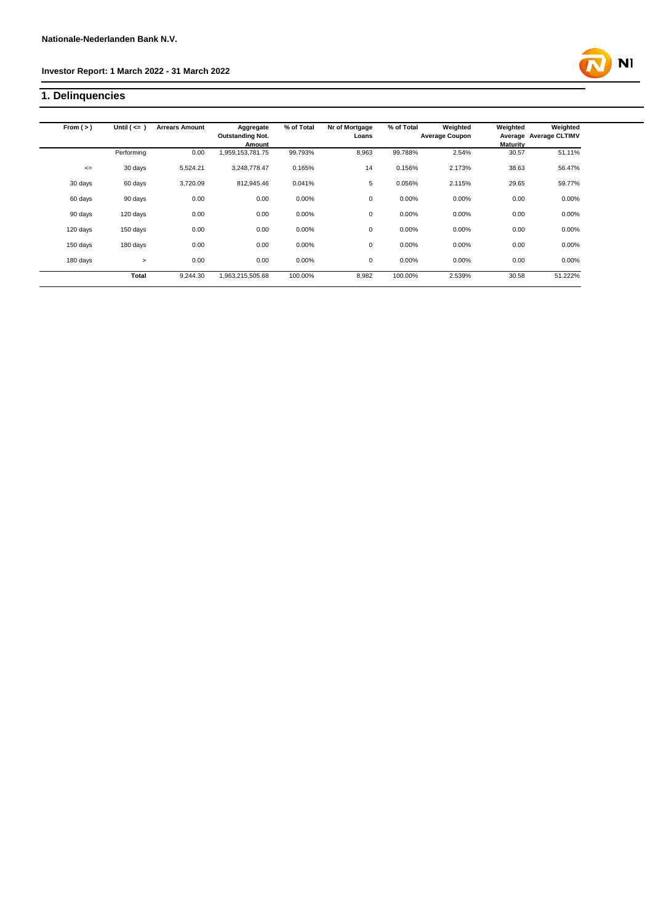# **1. Delinquencies**

| From $(>)$ | Until $($ <= $)$ | <b>Arrears Amount</b> | Aggregate               | % of Total | Nr of Mortgage | % of Total | Weighted              | Weighted | Weighted               |
|------------|------------------|-----------------------|-------------------------|------------|----------------|------------|-----------------------|----------|------------------------|
|            |                  |                       | <b>Outstanding Not.</b> |            | Loans          |            | <b>Average Coupon</b> |          | Average Average CLTIMV |
|            |                  |                       | Amount                  |            |                |            |                       | Maturity |                        |
|            | Performing       | 0.00                  | 959,153,781.75          | 99.793%    | 8,963          | 99.788%    | 2.54%                 | 30.57    | 51.11%                 |
| $\leq$     | 30 days          | 5,524.21              | 3,248,778.47            | 0.165%     | 14             | 0.156%     | 2.173%                | 38.63    | 56.47%                 |
| 30 days    | 60 days          | 3,720.09              | 812,945.46              | 0.041%     | 5              | 0.056%     | 2.115%                | 29.65    | 59.77%                 |
| 60 days    | 90 days          | 0.00                  | 0.00                    | 0.00%      | 0              | 0.00%      | 0.00%                 | 0.00     | 0.00%                  |
| 90 days    | 120 days         | 0.00                  | 0.00                    | 0.00%      | 0              | 0.00%      | 0.00%                 | 0.00     | 0.00%                  |
| 120 days   | 150 days         | 0.00                  | 0.00                    | 0.00%      | 0              | 0.00%      | 0.00%                 | 0.00     | 0.00%                  |
| 150 days   | 180 days         | 0.00                  | 0.00                    | 0.00%      | 0              | 0.00%      | 0.00%                 | 0.00     | 0.00%                  |
| 180 days   | $\geq$           | 0.00                  | 0.00                    | 0.00%      | 0              | 0.00%      | 0.00%                 | 0.00     | 0.00%                  |
|            | Total            | 9,244.30              | 1,963,215,505.68        | 100.00%    | 8,982          | 100.00%    | 2.539%                | 30.58    | 51.222%                |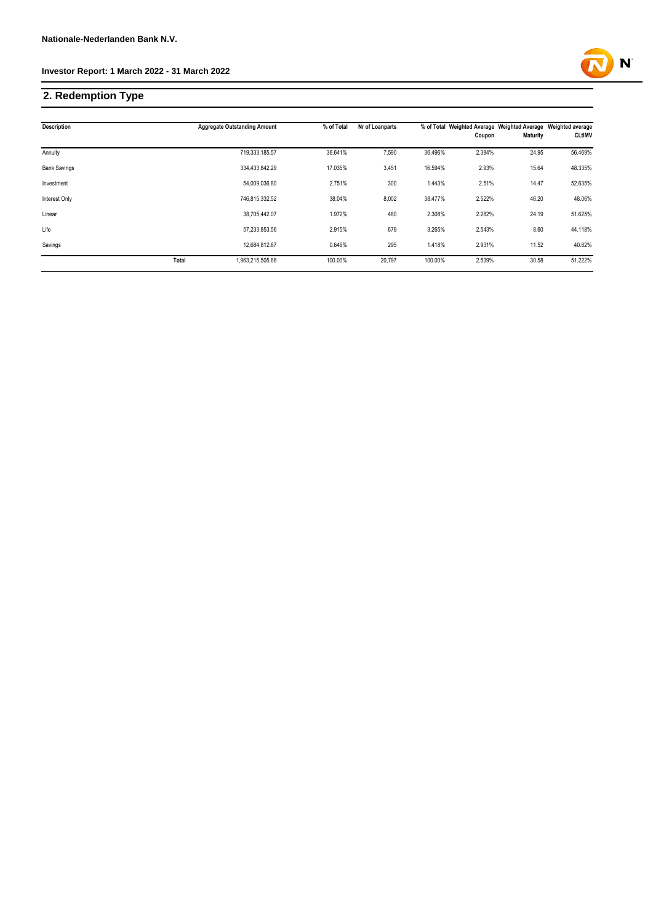# **2. Redemption Type**

| Description          |       | <b>Aggregate Outstanding Amount</b> | % of Total | Nr of Loanparts |         | Coupon | % of Total Weighted Average Weighted Average Weighted average<br><b>Maturity</b> | <b>CLtIMV</b> |
|----------------------|-------|-------------------------------------|------------|-----------------|---------|--------|----------------------------------------------------------------------------------|---------------|
|                      |       |                                     |            |                 |         |        |                                                                                  |               |
| Annuity              |       | 719,333,185.57                      | 36.641%    | 7,590           | 36.496% | 2.384% | 24.95                                                                            | 56.469%       |
| <b>Bank Savings</b>  |       | 334,433,842.29                      | 17.035%    | 3,451           | 16.594% | 2.93%  | 15.64                                                                            | 48.335%       |
| Investment           |       | 54,009,036.80                       | 2.751%     | 300             | 1.443%  | 2.51%  | 14.47                                                                            | 52.635%       |
| <b>Interest Only</b> |       | 746.815.332.52                      | 38.04%     | 8,002           | 38.477% | 2.522% | 46.20                                                                            | 48.06%        |
| Linear               |       | 38.705.442.07                       | 1.972%     | 480             | 2.308%  | 2.282% | 24.19                                                                            | 51.625%       |
| Life                 |       | 57,233,853.56                       | 2.915%     | 679             | 3.265%  | 2.543% | 8.60                                                                             | 44.118%       |
| Savings              |       | 12.684.812.87                       | 0.646%     | 295             | 1.418%  | 2.931% | 11.52                                                                            | 40.82%        |
|                      | Total | 1,963,215,505.68                    | 100.00%    | 20,797          | 100.00% | 2.539% | 30.58                                                                            | 51.222%       |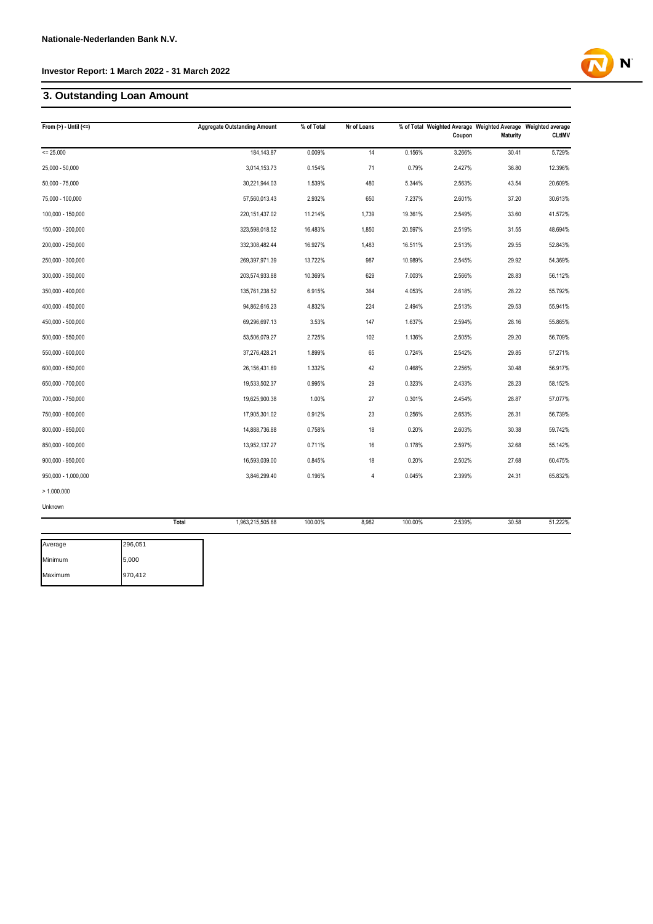# **3. Outstanding Loan Amount**

| From $(>)$ - Until $(<=)$ |       | <b>Aggregate Outstanding Amount</b> | % of Total | Nr of Loans |         | Coupon | % of Total Weighted Average Weighted Average Weighted average<br><b>Maturity</b> | <b>CLtIMV</b> |
|---------------------------|-------|-------------------------------------|------------|-------------|---------|--------|----------------------------------------------------------------------------------|---------------|
| $= 25.000$                |       | 184, 143.87                         | 0.009%     | 14          | 0.156%  | 3.266% | 30.41                                                                            | 5.729%        |
| $25,000 - 50,000$         |       | 3,014,153.73                        | 0.154%     | 71          | 0.79%   | 2.427% | 36.80                                                                            | 12.396%       |
| $50,000 - 75,000$         |       | 30,221,944.03                       | 1.539%     | 480         | 5.344%  | 2.563% | 43.54                                                                            | 20.609%       |
| 75,000 - 100,000          |       | 57,560,013.43                       | 2.932%     | 650         | 7.237%  | 2.601% | 37.20                                                                            | 30.613%       |
| 100,000 - 150,000         |       | 220, 151, 437.02                    | 11.214%    | 1,739       | 19.361% | 2.549% | 33.60                                                                            | 41.572%       |
| 150,000 - 200,000         |       | 323,598,018.52                      | 16.483%    | 1,850       | 20.597% | 2.519% | 31.55                                                                            | 48.694%       |
| 200,000 - 250,000         |       | 332,308,482.44                      | 16.927%    | 1,483       | 16.511% | 2.513% | 29.55                                                                            | 52.843%       |
| 250,000 - 300,000         |       | 269,397,971.39                      | 13.722%    | 987         | 10.989% | 2.545% | 29.92                                                                            | 54.369%       |
| 300,000 - 350,000         |       | 203,574,933.88                      | 10.369%    | 629         | 7.003%  | 2.566% | 28.83                                                                            | 56.112%       |
| 350,000 - 400,000         |       | 135,761,238.52                      | 6.915%     | 364         | 4.053%  | 2.618% | 28.22                                                                            | 55.792%       |
| 400,000 - 450,000         |       | 94,862,616.23                       | 4.832%     | 224         | 2.494%  | 2.513% | 29.53                                                                            | 55.941%       |
| 450,000 - 500,000         |       | 69,296,697.13                       | 3.53%      | 147         | 1.637%  | 2.594% | 28.16                                                                            | 55.865%       |
| 500,000 - 550,000         |       | 53,506,079.27                       | 2.725%     | 102         | 1.136%  | 2.505% | 29.20                                                                            | 56.709%       |
| 550,000 - 600,000         |       | 37,276,428.21                       | 1.899%     | 65          | 0.724%  | 2.542% | 29.85                                                                            | 57.271%       |
| 600,000 - 650,000         |       | 26, 156, 431.69                     | 1.332%     | 42          | 0.468%  | 2.256% | 30.48                                                                            | 56.917%       |
| 650,000 - 700,000         |       | 19,533,502.37                       | 0.995%     | 29          | 0.323%  | 2.433% | 28.23                                                                            | 58.152%       |
| 700,000 - 750,000         |       | 19,625,900.38                       | 1.00%      | 27          | 0.301%  | 2.454% | 28.87                                                                            | 57.077%       |
| 750,000 - 800,000         |       | 17,905,301.02                       | 0.912%     | 23          | 0.256%  | 2.653% | 26.31                                                                            | 56.739%       |
| 800,000 - 850,000         |       | 14,888,736.88                       | 0.758%     | 18          | 0.20%   | 2.603% | 30.38                                                                            | 59.742%       |
| 850,000 - 900,000         |       | 13,952,137.27                       | 0.711%     | 16          | 0.178%  | 2.597% | 32.68                                                                            | 55.142%       |
| $900,000 - 950,000$       |       | 16,593,039.00                       | 0.845%     | 18          | 0.20%   | 2.502% | 27.68                                                                            | 60.475%       |
| 950,000 - 1,000,000       |       | 3,846,299.40                        | 0.196%     | $\sqrt{4}$  | 0.045%  | 2.399% | 24.31                                                                            | 65.832%       |
| > 1.000.000               |       |                                     |            |             |         |        |                                                                                  |               |
| Unknown                   |       |                                     |            |             |         |        |                                                                                  |               |
|                           | Total | 1,963,215,505.68                    | 100.00%    | 8,982       | 100.00% | 2.539% | 30.58                                                                            | 51.222%       |
| Average<br>296,051        |       |                                     |            |             |         |        |                                                                                  |               |

| Average | 296,051 |
|---------|---------|
| Minimum | 5,000   |
| Maximum | 970,412 |

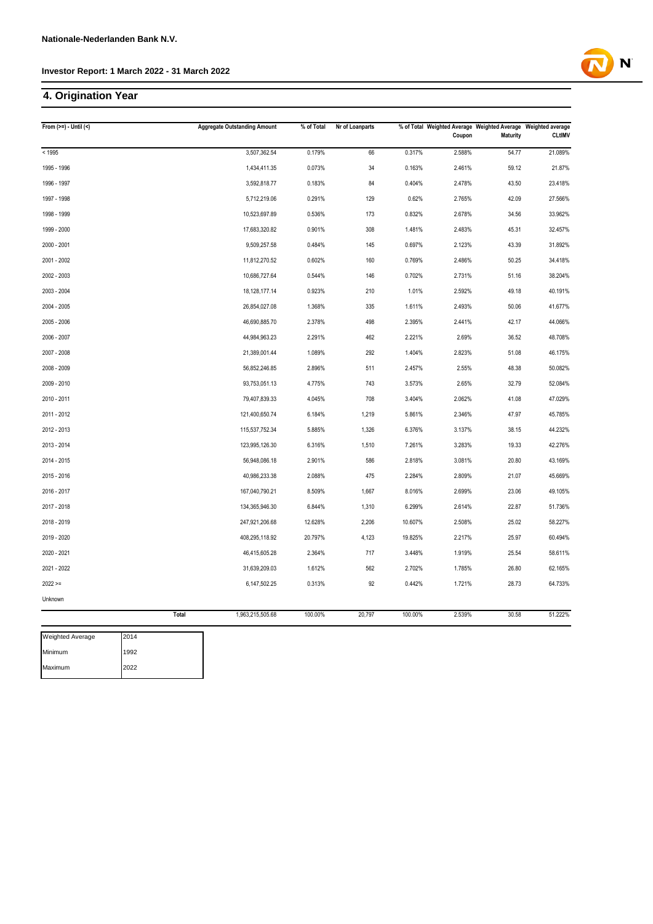# **4. Origination Year**

| From $(>=) -$ Until $($         | <b>Aggregate Outstanding Amount</b> | % of Total | Nr of Loanparts |         | Coupon | % of Total Weighted Average Weighted Average Weighted average<br><b>Maturity</b> | <b>CLtIMV</b> |
|---------------------------------|-------------------------------------|------------|-----------------|---------|--------|----------------------------------------------------------------------------------|---------------|
| < 1995                          | 3,507,362.54                        | 0.179%     | 66              | 0.317%  | 2.588% | 54.77                                                                            | 21.089%       |
| 1995 - 1996                     | 1,434,411.35                        | 0.073%     | 34              | 0.163%  | 2.461% | 59.12                                                                            | 21.87%        |
| 1996 - 1997                     | 3,592,818.77                        | 0.183%     | 84              | 0.404%  | 2.478% | 43.50                                                                            | 23.418%       |
| 1997 - 1998                     | 5,712,219.06                        | 0.291%     | 129             | 0.62%   | 2.765% | 42.09                                                                            | 27.566%       |
| 1998 - 1999                     | 10,523,697.89                       | 0.536%     | 173             | 0.832%  | 2.678% | 34.56                                                                            | 33.962%       |
| 1999 - 2000                     | 17,683,320.82                       | 0.901%     | 308             | 1.481%  | 2.483% | 45.31                                                                            | 32.457%       |
| 2000 - 2001                     | 9,509,257.58                        | 0.484%     | 145             | 0.697%  | 2.123% | 43.39                                                                            | 31.892%       |
| 2001 - 2002                     | 11,812,270.52                       | 0.602%     | 160             | 0.769%  | 2.486% | 50.25                                                                            | 34.418%       |
| 2002 - 2003                     | 10,686,727.64                       | 0.544%     | 146             | 0.702%  | 2.731% | 51.16                                                                            | 38.204%       |
| 2003 - 2004                     | 18, 128, 177. 14                    | 0.923%     | 210             | 1.01%   | 2.592% | 49.18                                                                            | 40.191%       |
| 2004 - 2005                     | 26,854,027.08                       | 1.368%     | 335             | 1.611%  | 2.493% | 50.06                                                                            | 41.677%       |
| 2005 - 2006                     | 46,690,885.70                       | 2.378%     | 498             | 2.395%  | 2.441% | 42.17                                                                            | 44.066%       |
| 2006 - 2007                     | 44,984,963.23                       | 2.291%     | 462             | 2.221%  | 2.69%  | 36.52                                                                            | 48.708%       |
| 2007 - 2008                     | 21,389,001.44                       | 1.089%     | 292             | 1.404%  | 2.823% | 51.08                                                                            | 46.175%       |
| 2008 - 2009                     | 56,852,246.85                       | 2.896%     | 511             | 2.457%  | 2.55%  | 48.38                                                                            | 50.082%       |
| 2009 - 2010                     | 93,753,051.13                       | 4.775%     | 743             | 3.573%  | 2.65%  | 32.79                                                                            | 52.084%       |
| 2010 - 2011                     | 79,407,839.33                       | 4.045%     | 708             | 3.404%  | 2.062% | 41.08                                                                            | 47.029%       |
| 2011 - 2012                     | 121,400,650.74                      | 6.184%     | 1,219           | 5.861%  | 2.346% | 47.97                                                                            | 45.785%       |
| 2012 - 2013                     | 115,537,752.34                      | 5.885%     | 1,326           | 6.376%  | 3.137% | 38.15                                                                            | 44.232%       |
| 2013 - 2014                     | 123,995,126.30                      | 6.316%     | 1,510           | 7.261%  | 3.283% | 19.33                                                                            | 42.276%       |
| 2014 - 2015                     | 56,948,086.18                       | 2.901%     | 586             | 2.818%  | 3.081% | 20.80                                                                            | 43.169%       |
| 2015 - 2016                     | 40,986,233.38                       | 2.088%     | 475             | 2.284%  | 2.809% | 21.07                                                                            | 45.669%       |
| 2016 - 2017                     | 167,040,790.21                      | 8.509%     | 1,667           | 8.016%  | 2.699% | 23.06                                                                            | 49.105%       |
| 2017 - 2018                     | 134,365,946.30                      | 6.844%     | 1,310           | 6.299%  | 2.614% | 22.87                                                                            | 51.736%       |
| 2018 - 2019                     | 247,921,206.68                      | 12.628%    | 2,206           | 10.607% | 2.508% | 25.02                                                                            | 58.227%       |
| 2019 - 2020                     | 408,295,118.92                      | 20.797%    | 4,123           | 19.825% | 2.217% | 25.97                                                                            | 60.494%       |
| 2020 - 2021                     | 46,415,605.28                       | 2.364%     | 717             | 3.448%  | 1.919% | 25.54                                                                            | 58.611%       |
| 2021 - 2022                     | 31,639,209.03                       | 1.612%     | 562             | 2.702%  | 1.785% | 26.80                                                                            | 62.165%       |
| $2022 >=$                       | 6,147,502.25                        | 0.313%     | 92              | 0.442%  | 1.721% | 28.73                                                                            | 64.733%       |
| Unknown                         |                                     |            |                 |         |        |                                                                                  |               |
|                                 | Total<br>1,963,215,505.68           | 100.00%    | 20,797          | 100.00% | 2.539% | 30.58                                                                            | 51.222%       |
| <b>Weighted Average</b><br>2014 |                                     |            |                 |         |        |                                                                                  |               |

Minimum Maximum 1992 2022

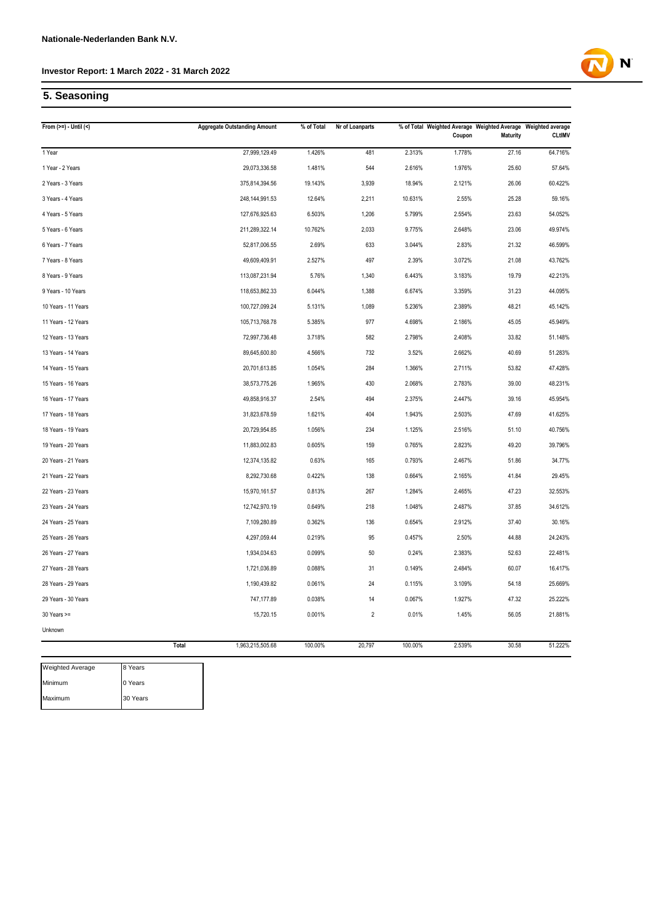

# **5. Seasoning**

| From $(>=) -$ Until $($ |         | <b>Aggregate Outstanding Amount</b> | % of Total | Nr of Loanparts |         | Coupon | % of Total Weighted Average Weighted Average Weighted average<br><b>Maturity</b> | <b>CLtIMV</b> |
|-------------------------|---------|-------------------------------------|------------|-----------------|---------|--------|----------------------------------------------------------------------------------|---------------|
| 1 Year                  |         | 27,999,129.49                       | 1.426%     | 481             | 2.313%  | 1.778% | 27.16                                                                            | 64.716%       |
| 1 Year - 2 Years        |         | 29,073,336.58                       | 1.481%     | 544             | 2.616%  | 1.976% | 25.60                                                                            | 57.64%        |
| 2 Years - 3 Years       |         | 375,814,394.56                      | 19.143%    | 3,939           | 18.94%  | 2.121% | 26.06                                                                            | 60.422%       |
| 3 Years - 4 Years       |         | 248, 144, 991.53                    | 12.64%     | 2,211           | 10.631% | 2.55%  | 25.28                                                                            | 59.16%        |
| 4 Years - 5 Years       |         | 127,676,925.63                      | 6.503%     | 1,206           | 5.799%  | 2.554% | 23.63                                                                            | 54.052%       |
| 5 Years - 6 Years       |         | 211,289,322.14                      | 10.762%    | 2,033           | 9.775%  | 2.648% | 23.06                                                                            | 49.974%       |
| 6 Years - 7 Years       |         | 52,817,006.55                       | 2.69%      | 633             | 3.044%  | 2.83%  | 21.32                                                                            | 46.599%       |
| 7 Years - 8 Years       |         | 49,609,409.91                       | 2.527%     | 497             | 2.39%   | 3.072% | 21.08                                                                            | 43.762%       |
| 8 Years - 9 Years       |         | 113,087,231.94                      | 5.76%      | 1,340           | 6.443%  | 3.183% | 19.79                                                                            | 42.213%       |
| 9 Years - 10 Years      |         | 118,653,862.33                      | 6.044%     | 1,388           | 6.674%  | 3.359% | 31.23                                                                            | 44.095%       |
| 10 Years - 11 Years     |         | 100,727,099.24                      | 5.131%     | 1,089           | 5.236%  | 2.389% | 48.21                                                                            | 45.142%       |
| 11 Years - 12 Years     |         | 105,713,768.78                      | 5.385%     | 977             | 4.698%  | 2.186% | 45.05                                                                            | 45.949%       |
| 12 Years - 13 Years     |         | 72,997,736.48                       | 3.718%     | 582             | 2.798%  | 2.408% | 33.82                                                                            | 51.148%       |
| 13 Years - 14 Years     |         | 89,645,600.80                       | 4.566%     | 732             | 3.52%   | 2.662% | 40.69                                                                            | 51.283%       |
| 14 Years - 15 Years     |         | 20,701,613.85                       | 1.054%     | 284             | 1.366%  | 2.711% | 53.82                                                                            | 47.428%       |
| 15 Years - 16 Years     |         | 38,573,775.26                       | 1.965%     | 430             | 2.068%  | 2.783% | 39.00                                                                            | 48.231%       |
| 16 Years - 17 Years     |         | 49,858,916.37                       | 2.54%      | 494             | 2.375%  | 2.447% | 39.16                                                                            | 45.954%       |
| 17 Years - 18 Years     |         | 31,823,678.59                       | 1.621%     | 404             | 1.943%  | 2.503% | 47.69                                                                            | 41.625%       |
| 18 Years - 19 Years     |         | 20,729,954.85                       | 1.056%     | 234             | 1.125%  | 2.516% | 51.10                                                                            | 40.756%       |
| 19 Years - 20 Years     |         | 11,883,002.83                       | 0.605%     | 159             | 0.765%  | 2.823% | 49.20                                                                            | 39.796%       |
| 20 Years - 21 Years     |         | 12,374,135.82                       | 0.63%      | 165             | 0.793%  | 2.467% | 51.86                                                                            | 34.77%        |
| 21 Years - 22 Years     |         | 8,292,730.68                        | 0.422%     | 138             | 0.664%  | 2.165% | 41.84                                                                            | 29.45%        |
| 22 Years - 23 Years     |         | 15,970,161.57                       | 0.813%     | 267             | 1.284%  | 2.465% | 47.23                                                                            | 32.553%       |
| 23 Years - 24 Years     |         | 12,742,970.19                       | 0.649%     | 218             | 1.048%  | 2.487% | 37.85                                                                            | 34.612%       |
| 24 Years - 25 Years     |         | 7,109,280.89                        | 0.362%     | 136             | 0.654%  | 2.912% | 37.40                                                                            | 30.16%        |
| 25 Years - 26 Years     |         | 4,297,059.44                        | 0.219%     | 95              | 0.457%  | 2.50%  | 44.88                                                                            | 24.243%       |
| 26 Years - 27 Years     |         | 1,934,034.63                        | 0.099%     | 50              | 0.24%   | 2.383% | 52.63                                                                            | 22.481%       |
| 27 Years - 28 Years     |         | 1,721,036.89                        | 0.088%     | 31              | 0.149%  | 2.484% | 60.07                                                                            | 16.417%       |
| 28 Years - 29 Years     |         | 1,190,439.82                        | 0.061%     | 24              | 0.115%  | 3.109% | 54.18                                                                            | 25.669%       |
| 29 Years - 30 Years     |         | 747,177.89                          | 0.038%     | 14              | 0.067%  | 1.927% | 47.32                                                                            | 25.222%       |
| $30$ Years $>=$         |         | 15,720.15                           | 0.001%     | $\overline{2}$  | 0.01%   | 1.45%  | 56.05                                                                            | 21.881%       |
| Unknown                 |         |                                     |            |                 |         |        |                                                                                  |               |
|                         | Total   | 1,963,215,505.68                    | 100.00%    | 20,797          | 100.00% | 2.539% | 30.58                                                                            | 51.222%       |
| Weighted Average        | 8 Years |                                     |            |                 |         |        |                                                                                  |               |

| Minimum | 0 Years  |
|---------|----------|
| Maximum | 30 Years |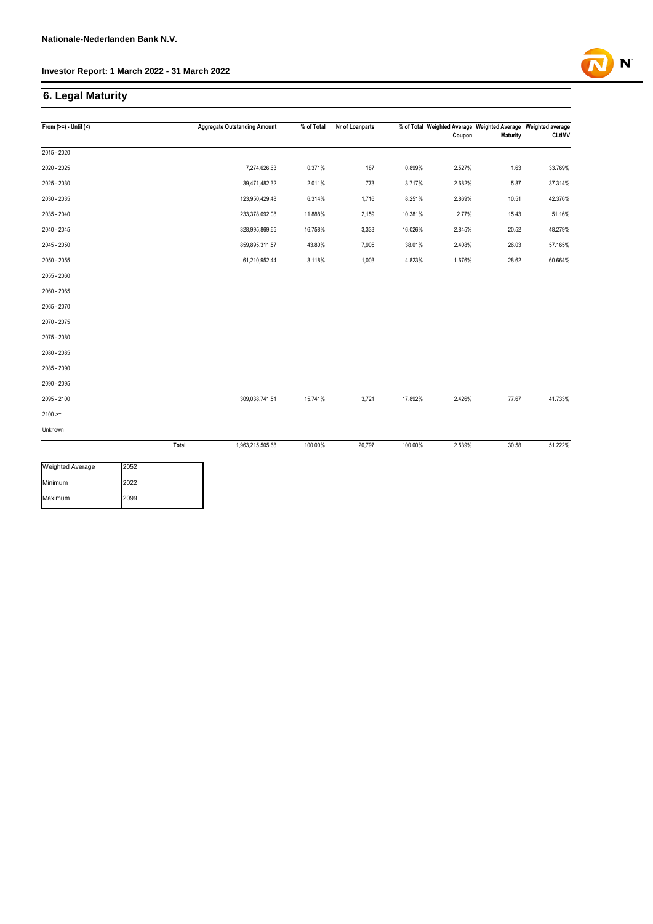# **6. Legal Maturity**

| From $(>=) -$ Until $($ |       | <b>Aggregate Outstanding Amount</b> | % of Total | Nr of Loanparts |         | Coupon | % of Total Weighted Average Weighted Average Weighted average<br><b>Maturity</b> | <b>CLtIMV</b> |
|-------------------------|-------|-------------------------------------|------------|-----------------|---------|--------|----------------------------------------------------------------------------------|---------------|
| $2015 - 2020$           |       |                                     |            |                 |         |        |                                                                                  |               |
| 2020 - 2025             |       | 7,274,626.63                        | 0.371%     | 187             | 0.899%  | 2.527% | 1.63                                                                             | 33.769%       |
| 2025 - 2030             |       | 39,471,482.32                       | 2.011%     | 773             | 3.717%  | 2.682% | 5.87                                                                             | 37.314%       |
| 2030 - 2035             |       | 123,950,429.48                      | 6.314%     | 1,716           | 8.251%  | 2.869% | 10.51                                                                            | 42.376%       |
| 2035 - 2040             |       | 233,378,092.08                      | 11.888%    | 2,159           | 10.381% | 2.77%  | 15.43                                                                            | 51.16%        |
| 2040 - 2045             |       | 328,995,869.65                      | 16.758%    | 3,333           | 16.026% | 2.845% | 20.52                                                                            | 48.279%       |
| 2045 - 2050             |       | 859,895,311.57                      | 43.80%     | 7,905           | 38.01%  | 2.408% | 26.03                                                                            | 57.165%       |
| 2050 - 2055             |       | 61,210,952.44                       | 3.118%     | 1,003           | 4.823%  | 1.676% | 28.62                                                                            | 60.664%       |
| 2055 - 2060             |       |                                     |            |                 |         |        |                                                                                  |               |
| 2060 - 2065             |       |                                     |            |                 |         |        |                                                                                  |               |
| 2065 - 2070             |       |                                     |            |                 |         |        |                                                                                  |               |
| 2070 - 2075             |       |                                     |            |                 |         |        |                                                                                  |               |
| 2075 - 2080             |       |                                     |            |                 |         |        |                                                                                  |               |
| 2080 - 2085             |       |                                     |            |                 |         |        |                                                                                  |               |
| 2085 - 2090             |       |                                     |            |                 |         |        |                                                                                  |               |
| 2090 - 2095             |       |                                     |            |                 |         |        |                                                                                  |               |
| 2095 - 2100             |       | 309,038,741.51                      | 15.741%    | 3,721           | 17.892% | 2.426% | 77.67                                                                            | 41.733%       |
| $2100 >=$               |       |                                     |            |                 |         |        |                                                                                  |               |
| Unknown                 |       |                                     |            |                 |         |        |                                                                                  |               |
|                         | Total | 1,963,215,505.68                    | 100.00%    | 20,797          | 100.00% | 2.539% | 30.58                                                                            | 51.222%       |
| Weighted Average        | 2052  |                                     |            |                 |         |        |                                                                                  |               |
| Minimum                 | 2022  |                                     |            |                 |         |        |                                                                                  |               |
| Maximum                 | 2099  |                                     |            |                 |         |        |                                                                                  |               |

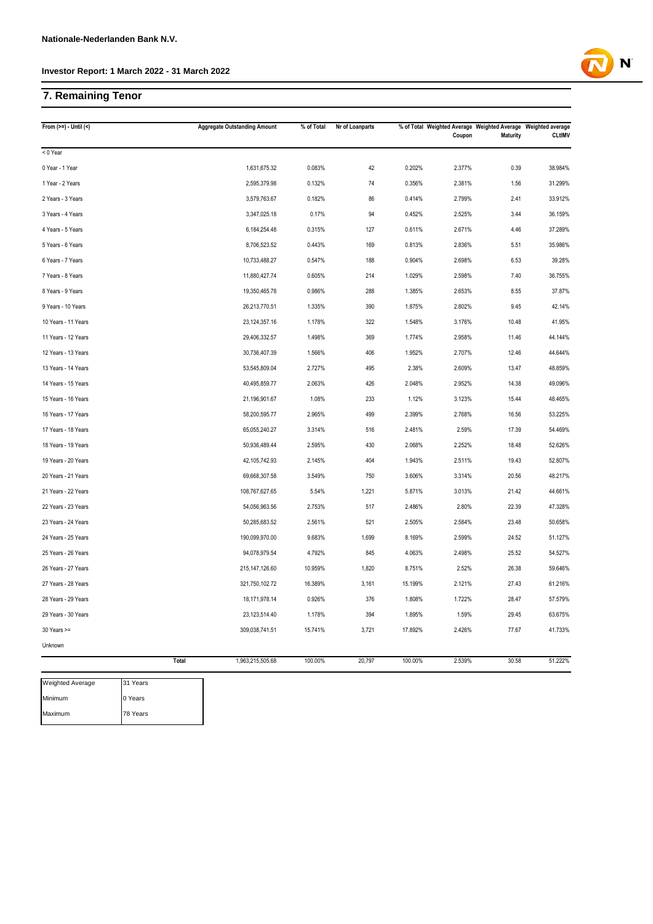# **7. Remaining Tenor**

| From $(>=) -$ Until $($ | <b>Aggregate Outstanding Amount</b> | % of Total | Nr of Loanparts |         | % of Total Weighted Average Weighted Average Weighted average<br>Coupon | <b>Maturity</b> | <b>CLtIMV</b> |
|-------------------------|-------------------------------------|------------|-----------------|---------|-------------------------------------------------------------------------|-----------------|---------------|
| < 0 Year                |                                     |            |                 |         |                                                                         |                 |               |
| 0 Year - 1 Year         | 1,631,675.32                        | 0.083%     | 42              | 0.202%  | 2.377%                                                                  | 0.39            | 38.984%       |
| 1 Year - 2 Years        | 2,595,379.98                        | 0.132%     | 74              | 0.356%  | 2.381%                                                                  | 1.56            | 31.299%       |
| 2 Years - 3 Years       | 3,579,763.67                        | 0.182%     | 86              | 0.414%  | 2.799%                                                                  | 2.41            | 33.912%       |
| 3 Years - 4 Years       | 3,347,025.18                        | 0.17%      | 94              | 0.452%  | 2.525%                                                                  | 3.44            | 36.159%       |
| 4 Years - 5 Years       | 6, 184, 254. 48                     | 0.315%     | 127             | 0.611%  | 2.671%                                                                  | 4.46            | 37.289%       |
| 5 Years - 6 Years       | 8,706,523.52                        | 0.443%     | 169             | 0.813%  | 2.836%                                                                  | 5.51            | 35.986%       |
| 6 Years - 7 Years       | 10,733,488.27                       | 0.547%     | 188             | 0.904%  | 2.698%                                                                  | 6.53            | 39.28%        |
| 7 Years - 8 Years       | 11,880,427.74                       | 0.605%     | 214             | 1.029%  | 2.598%                                                                  | 7.40            | 36.755%       |
| 8 Years - 9 Years       | 19,350,465.78                       | 0.986%     | 288             | 1.385%  | 2.653%                                                                  | 8.55            | 37.87%        |
| 9 Years - 10 Years      | 26,213,770.51                       | 1.335%     | 390             | 1.875%  | 2.802%                                                                  | 9.45            | 42.14%        |
| 10 Years - 11 Years     | 23, 124, 357. 16                    | 1.178%     | 322             | 1.548%  | 3.176%                                                                  | 10.48           | 41.95%        |
| 11 Years - 12 Years     | 29,406,332.57                       | 1.498%     | 369             | 1.774%  | 2.958%                                                                  | 11.46           | 44.144%       |
| 12 Years - 13 Years     | 30,736,407.39                       | 1.566%     | 406             | 1.952%  | 2.707%                                                                  | 12.46           | 44.644%       |
| 13 Years - 14 Years     | 53,545,809.04                       | 2.727%     | 495             | 2.38%   | 2.609%                                                                  | 13.47           | 48.859%       |
| 14 Years - 15 Years     | 40,495,859.77                       | 2.063%     | 426             | 2.048%  | 2.952%                                                                  | 14.38           | 49.096%       |
| 15 Years - 16 Years     | 21,196,901.67                       | 1.08%      | 233             | 1.12%   | 3.123%                                                                  | 15.44           | 48.465%       |
| 16 Years - 17 Years     | 58,200,595.77                       | 2.965%     | 499             | 2.399%  | 2.768%                                                                  | 16.56           | 53.225%       |
| 17 Years - 18 Years     | 65,055,240.27                       | 3.314%     | 516             | 2.481%  | 2.59%                                                                   | 17.39           | 54.469%       |
| 18 Years - 19 Years     | 50,936,489.44                       | 2.595%     | 430             | 2.068%  | 2.252%                                                                  | 18.48           | 52.626%       |
| 19 Years - 20 Years     | 42,105,742.93                       | 2.145%     | 404             | 1.943%  | 2.511%                                                                  | 19.43           | 52.807%       |
| 20 Years - 21 Years     | 69,668,307.58                       | 3.549%     | 750             | 3.606%  | 3.314%                                                                  | 20.56           | 48.217%       |
| 21 Years - 22 Years     | 108,767,627.65                      | 5.54%      | 1,221           | 5.871%  | 3.013%                                                                  | 21.42           | 44.661%       |
| 22 Years - 23 Years     | 54,056,963.56                       | 2.753%     | 517             | 2.486%  | 2.80%                                                                   | 22.39           | 47.328%       |
| 23 Years - 24 Years     | 50,285,683.52                       | 2.561%     | 521             | 2.505%  | 2.584%                                                                  | 23.48           | 50.658%       |
| 24 Years - 25 Years     | 190,099,970.00                      | 9.683%     | 1,699           | 8.169%  | 2.599%                                                                  | 24.52           | 51.127%       |
| 25 Years - 26 Years     | 94,078,979.54                       | 4.792%     | 845             | 4.063%  | 2.498%                                                                  | 25.52           | 54.527%       |
| 26 Years - 27 Years     | 215, 147, 126.60                    | 10.959%    | 1,820           | 8.751%  | 2.52%                                                                   | 26.38           | 59.646%       |
| 27 Years - 28 Years     | 321,750,102.72                      | 16.389%    | 3,161           | 15.199% | 2.121%                                                                  | 27.43           | 61.216%       |
| 28 Years - 29 Years     | 18,171,978.14                       | 0.926%     | 376             | 1.808%  | 1.722%                                                                  | 28.47           | 57.579%       |
| 29 Years - 30 Years     | 23,123,514.40                       | 1.178%     | 394             | 1.895%  | 1.59%                                                                   | 29.45           | 63.675%       |
| $30$ Years $>=$         | 309,038,741.51                      | 15.741%    | 3,721           | 17.892% | 2.426%                                                                  | 77.67           | 41.733%       |
| Unknown                 |                                     |            |                 |         |                                                                         |                 |               |
| Total                   | 1,963,215,505.68                    | 100.00%    | 20,797          | 100.00% | 2.539%                                                                  | 30.58           | 51.222%       |



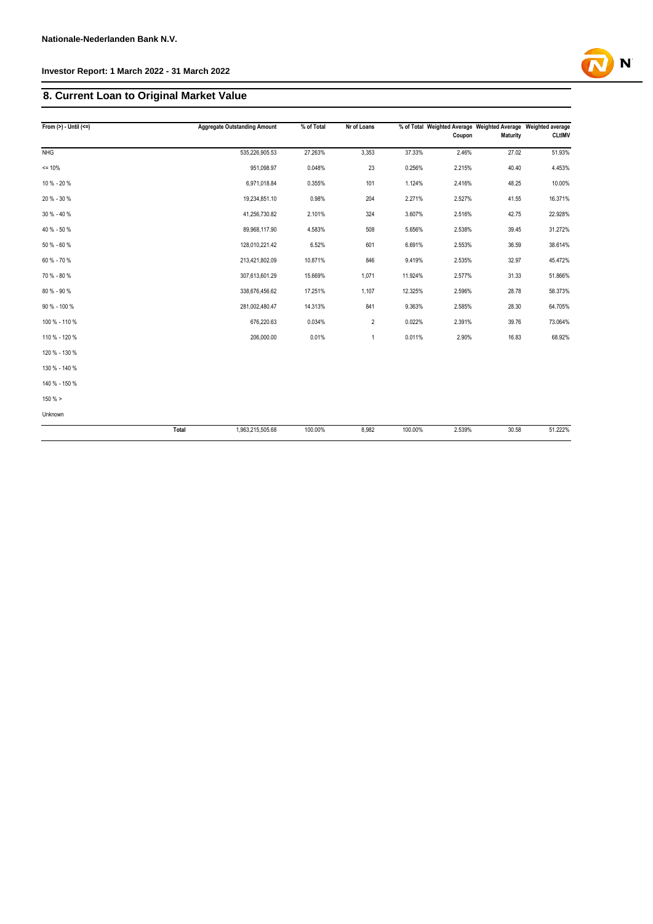# **8. Current Loan to Original Market Value**

| From $(>) -$ Until $(<=)$ | <b>Aggregate Outstanding Amount</b> | % of Total | Nr of Loans    |         | Coupon | % of Total Weighted Average Weighted Average Weighted average<br><b>Maturity</b> | <b>CLtIMV</b> |
|---------------------------|-------------------------------------|------------|----------------|---------|--------|----------------------------------------------------------------------------------|---------------|
| <b>NHG</b>                | 535,226,905.53                      | 27.263%    | 3,353          | 37.33%  | 2.46%  | 27.02                                                                            | 51.93%        |
| $= 10%$                   | 951,098.97                          | 0.048%     | 23             | 0.256%  | 2.215% | 40.40                                                                            | 4.453%        |
| 10 % - 20 %               | 6,971,018.84                        | 0.355%     | 101            | 1.124%  | 2.416% | 48.25                                                                            | 10.00%        |
| 20 % - 30 %               | 19,234,851.10                       | 0.98%      | 204            | 2.271%  | 2.527% | 41.55                                                                            | 16.371%       |
| 30 % - 40 %               | 41,256,730.82                       | 2.101%     | 324            | 3.607%  | 2.516% | 42.75                                                                            | 22.928%       |
| 40 % - 50 %               | 89,968,117.90                       | 4.583%     | 508            | 5.656%  | 2.538% | 39.45                                                                            | 31.272%       |
| 50 % - 60 %               | 128,010,221.42                      | 6.52%      | 601            | 6.691%  | 2.553% | 36.59                                                                            | 38.614%       |
| 60 % - 70 %               | 213,421,802.09                      | 10.871%    | 846            | 9.419%  | 2.535% | 32.97                                                                            | 45.472%       |
| 70 % - 80 %               | 307,613,601.29                      | 15.669%    | 1,071          | 11.924% | 2.577% | 31.33                                                                            | 51.866%       |
| 80 % - 90 %               | 338,676,456.62                      | 17.251%    | 1,107          | 12.325% | 2.596% | 28.78                                                                            | 58.373%       |
| 90 % - 100 %              | 281,002,480.47                      | 14.313%    | 841            | 9.363%  | 2.585% | 28.30                                                                            | 64.705%       |
| 100 % - 110 %             | 676,220.63                          | 0.034%     | $\overline{2}$ | 0.022%  | 2.391% | 39.76                                                                            | 73.064%       |
| 110 % - 120 %             | 206,000.00                          | 0.01%      | $\mathbf{1}$   | 0.011%  | 2.90%  | 16.83                                                                            | 68.92%        |
| 120 % - 130 %             |                                     |            |                |         |        |                                                                                  |               |
| 130 % - 140 %             |                                     |            |                |         |        |                                                                                  |               |
| 140 % - 150 %             |                                     |            |                |         |        |                                                                                  |               |
| 150% >                    |                                     |            |                |         |        |                                                                                  |               |
| Unknown                   |                                     |            |                |         |        |                                                                                  |               |
|                           | Total<br>1,963,215,505.68           | 100.00%    | 8,982          | 100.00% | 2.539% | 30.58                                                                            | 51.222%       |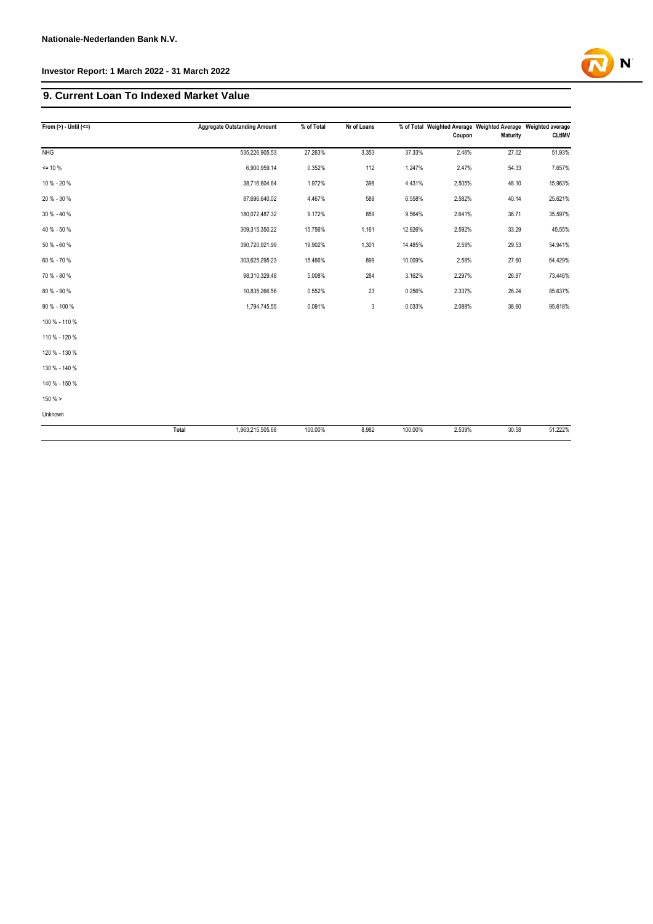### **9. Current Loan To Indexed Market Value**

| From $(>)$ - Until $(<=)$ | <b>Aggregate Outstanding Amount</b> |               | % of Total | Nr of Loans |         | Coupon | % of Total Weighted Average Weighted Average Weighted average<br><b>Maturity</b> | <b>CLtIMV</b> |
|---------------------------|-------------------------------------|---------------|------------|-------------|---------|--------|----------------------------------------------------------------------------------|---------------|
| NHG                       | 535,226,905.53                      |               | 27.263%    | 3,353       | 37.33%  | 2.46%  | 27.02                                                                            | 51.93%        |
| $= 10 \%$                 |                                     | 6,900,959.14  | 0.352%     | 112         | 1.247%  | 2.47%  | 54.33                                                                            | 7.657%        |
| 10 % - 20 %               |                                     | 38,716,604.64 | 1.972%     | 398         | 4.431%  | 2.505% | 48.10                                                                            | 15.963%       |
| 20 % - 30 %               |                                     | 87,696,640.02 | 4.467%     | 589         | 6.558%  | 2.582% | 40.14                                                                            | 25.621%       |
| 30 % - 40 %               | 180,072,487.32                      |               | 9.172%     | 859         | 9.564%  | 2.641% | 36.71                                                                            | 35.597%       |
| 40 % - 50 %               | 309,315,350.22                      |               | 15.756%    | 1,161       | 12.926% | 2.592% | 33.29                                                                            | 45.55%        |
| 50 % - 60 %               | 390,720,921.99                      |               | 19.902%    | 1,301       | 14.485% | 2.59%  | 29.53                                                                            | 54.941%       |
| 60 % - 70 %               | 303,625,295.23                      |               | 15.466%    | 899         | 10.009% | 2.58%  | 27.60                                                                            | 64.429%       |
| 70 % - 80 %               |                                     | 98,310,329.48 | 5.008%     | 284         | 3.162%  | 2.297% | 26.87                                                                            | 73.446%       |
| 80 % - 90 %               |                                     | 10,835,266.56 | 0.552%     | 23          | 0.256%  | 2.337% | 26.24                                                                            | 85.637%       |
| 90 % - 100 %              |                                     | 1,794,745.55  | 0.091%     | 3           | 0.033%  | 2.088% | 38.60                                                                            | 95.618%       |
| 100 % - 110 %             |                                     |               |            |             |         |        |                                                                                  |               |
| 110 % - 120 %             |                                     |               |            |             |         |        |                                                                                  |               |
| 120 % - 130 %             |                                     |               |            |             |         |        |                                                                                  |               |
| 130 % - 140 %             |                                     |               |            |             |         |        |                                                                                  |               |
| 140 % - 150 %             |                                     |               |            |             |         |        |                                                                                  |               |
| $150 \%$ >                |                                     |               |            |             |         |        |                                                                                  |               |
| Unknown                   |                                     |               |            |             |         |        |                                                                                  |               |
|                           | Total<br>1,963,215,505.68           |               | 100.00%    | 8,982       | 100.00% | 2.539% | 30.58                                                                            | 51.222%       |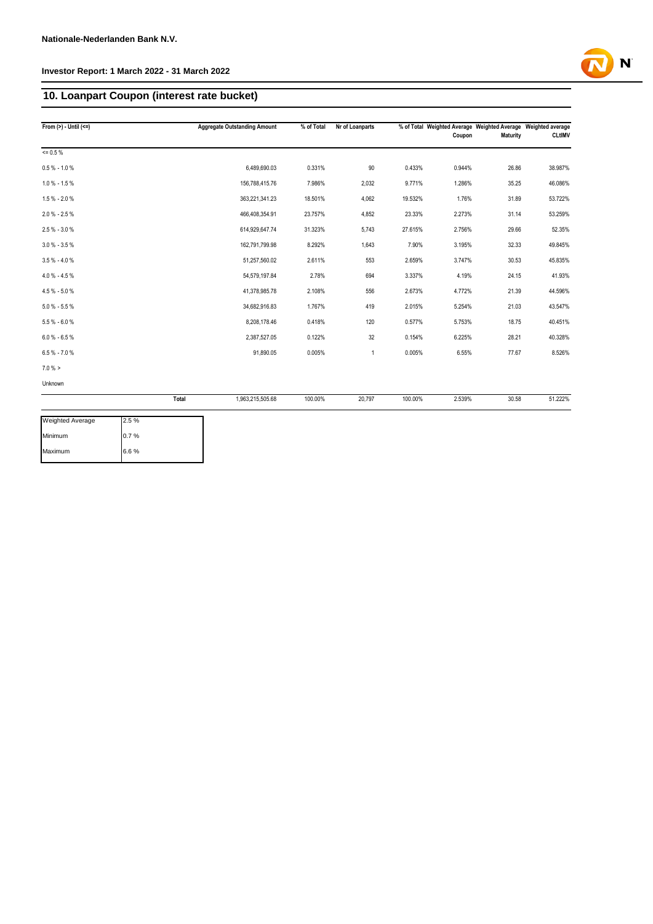# **10. Loanpart Coupon (interest rate bucket)**

| From $(>)$ - Until $(<=)$ | <b>Aggregate Outstanding Amount</b> | % of Total | Nr of Loanparts |         | Coupon | % of Total Weighted Average Weighted Average Weighted average<br>Maturity | <b>CLtIMV</b> |
|---------------------------|-------------------------------------|------------|-----------------|---------|--------|---------------------------------------------------------------------------|---------------|
| $= 0.5 \%$                |                                     |            |                 |         |        |                                                                           |               |
| $0.5 % - 1.0 %$           | 6,489,690.03                        | 0.331%     | 90              | 0.433%  | 0.944% | 26.86                                                                     | 38.987%       |
| $1.0 \% - 1.5 \%$         | 156,788,415.76                      | 7.986%     | 2,032           | 9.771%  | 1.286% | 35.25                                                                     | 46.086%       |
| $1.5 % - 2.0 %$           | 363,221,341.23                      | 18.501%    | 4,062           | 19.532% | 1.76%  | 31.89                                                                     | 53.722%       |
| $2.0 \% - 2.5 \%$         | 466,408,354.91                      | 23.757%    | 4,852           | 23.33%  | 2.273% | 31.14                                                                     | 53.259%       |
| 2.5 % - 3.0 %             | 614,929,647.74                      | 31.323%    | 5,743           | 27.615% | 2.756% | 29.66                                                                     | 52.35%        |
| $3.0 \% - 3.5 \%$         | 162,791,799.98                      | 8.292%     | 1,643           | 7.90%   | 3.195% | 32.33                                                                     | 49.845%       |
| $3.5% - 4.0%$             | 51,257,560.02                       | 2.611%     | 553             | 2.659%  | 3.747% | 30.53                                                                     | 45.835%       |
| $4.0 \% - 4.5 \%$         | 54,579,197.84                       | 2.78%      | 694             | 3.337%  | 4.19%  | 24.15                                                                     | 41.93%        |
| $4.5 % -5.0 %$            | 41,378,985.78                       | 2.108%     | 556             | 2.673%  | 4.772% | 21.39                                                                     | 44.596%       |
| $5.0 % - 5.5 %$           | 34,682,916.83                       | 1.767%     | 419             | 2.015%  | 5.254% | 21.03                                                                     | 43.547%       |
| $5.5 % -6.0 %$            | 8,208,178.46                        | 0.418%     | 120             | 0.577%  | 5.753% | 18.75                                                                     | 40.451%       |
| $6.0 % - 6.5 %$           | 2,387,527.05                        | 0.122%     | 32              | 0.154%  | 6.225% | 28.21                                                                     | 40.328%       |
| $6.5 % -7.0 %$            | 91,890.05                           | 0.005%     | $\mathbf{1}$    | 0.005%  | 6.55%  | 77.67                                                                     | 8.526%        |
| $7.0 \%$ >                |                                     |            |                 |         |        |                                                                           |               |
| Unknown                   |                                     |            |                 |         |        |                                                                           |               |
|                           | 1,963,215,505.68<br>Total           | 100.00%    | 20,797          | 100.00% | 2.539% | 30.58                                                                     | 51.222%       |

| <b>Weighted Average</b> | 2.5% |
|-------------------------|------|
| Minimum                 | 0.7% |
| Maximum                 | 6.6% |

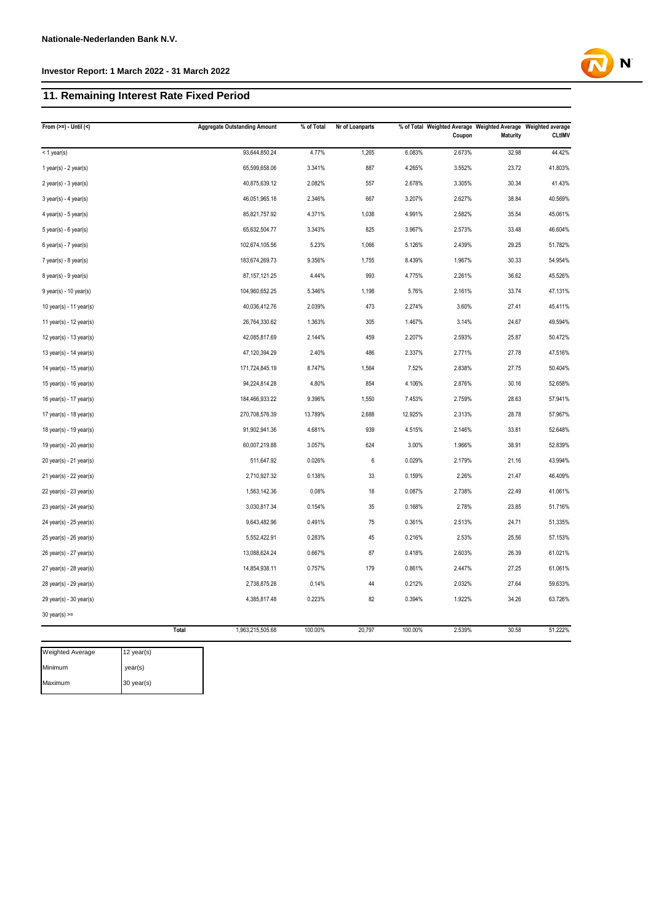# **11. Remaining Interest Rate Fixed Period**

| From $(>=) -$ Until $($     | <b>Aggregate Outstanding Amount</b> | % of Total | Nr of Loanparts |         | Coupon | % of Total Weighted Average Weighted Average Weighted average<br>Maturity | <b>CLtIMV</b> |
|-----------------------------|-------------------------------------|------------|-----------------|---------|--------|---------------------------------------------------------------------------|---------------|
| $<$ 1 year(s)               | 93,644,850.24                       | 4.77%      | 1,265           | 6.083%  | 2.673% | 32.98                                                                     | 44.42%        |
| $1$ year(s) - $2$ year(s)   | 65,599,658.06                       | 3.341%     | 887             | 4.265%  | 3.552% | 23.72                                                                     | 41.803%       |
| $2$ year(s) - $3$ year(s)   | 40,875,639.12                       | 2.082%     | 557             | 2.678%  | 3.305% | 30.34                                                                     | 41.43%        |
| $3$ year(s) - 4 year(s)     | 46,051,965.18                       | 2.346%     | 667             | 3.207%  | 2.627% | 38.84                                                                     | 40.569%       |
| $4$ year(s) - $5$ year(s)   | 85,821,757.92                       | 4.371%     | 1,038           | 4.991%  | 2.582% | 35.54                                                                     | 45.061%       |
| $5$ year(s) - $6$ year(s)   | 65,632,504.77                       | 3.343%     | 825             | 3.967%  | 2.573% | 33.48                                                                     | 46.604%       |
| $6$ year(s) - 7 year(s)     | 102,674,105.56                      | 5.23%      | 1,066           | 5.126%  | 2.439% | 29.25                                                                     | 51.782%       |
| 7 year(s) - 8 year(s)       | 183,674,269.73                      | 9.356%     | 1,755           | 8.439%  | 1.967% | 30.33                                                                     | 54.954%       |
| 8 year(s) - 9 year(s)       | 87, 157, 121.25                     | 4.44%      | 993             | 4.775%  | 2.261% | 36.62                                                                     | 45.526%       |
| $9$ year(s) - 10 year(s)    | 104,960,652.25                      | 5.346%     | 1,198           | 5.76%   | 2.161% | 33.74                                                                     | 47.131%       |
| 10 year(s) - 11 year(s)     | 40,036,412.76                       | 2.039%     | 473             | 2.274%  | 3.60%  | 27.41                                                                     | 45.411%       |
| 11 year(s) - 12 year(s)     | 26,764,330.62                       | 1.363%     | 305             | 1.467%  | 3.14%  | 24.67                                                                     | 49.594%       |
| 12 year(s) - 13 year(s)     | 42,085,817.69                       | 2.144%     | 459             | 2.207%  | 2.593% | 25.87                                                                     | 50.472%       |
| 13 year(s) - 14 year(s)     | 47,120,394.29                       | 2.40%      | 486             | 2.337%  | 2.771% | 27.78                                                                     | 47.516%       |
| 14 year(s) - 15 year(s)     | 171,724,845.19                      | 8.747%     | 1,564           | 7.52%   | 2.838% | 27.75                                                                     | 50.404%       |
| 15 year(s) - 16 year(s)     | 94,224,814.28                       | 4.80%      | 854             | 4.106%  | 2.876% | 30.16                                                                     | 52.658%       |
| 16 year(s) - 17 year(s)     | 184,466,933.22                      | 9.396%     | 1,550           | 7.453%  | 2.759% | 28.63                                                                     | 57.941%       |
| 17 year(s) - 18 year(s)     | 270,708,576.39                      | 13.789%    | 2,688           | 12.925% | 2.313% | 28.78                                                                     | 57.967%       |
| 18 year(s) - 19 year(s)     | 91,902,941.36                       | 4.681%     | 939             | 4.515%  | 2.146% | 33.81                                                                     | 52.648%       |
| 19 year(s) - 20 year(s)     | 60,007,219.88                       | 3.057%     | 624             | 3.00%   | 1.966% | 38.91                                                                     | 52.839%       |
| $20$ year(s) - $21$ year(s) | 511,647.92                          | 0.026%     | $\,6\,$         | 0.029%  | 2.179% | 21.16                                                                     | 43.994%       |
| 21 year(s) - 22 year(s)     | 2,710,927.32                        | 0.138%     | 33              | 0.159%  | 2.26%  | 21.47                                                                     | 46.409%       |
| $22$ year(s) - $23$ year(s) | 1,563,142.36                        | 0.08%      | 18              | 0.087%  | 2.738% | 22.49                                                                     | 41.061%       |
| 23 year(s) - 24 year(s)     | 3,030,817.34                        | 0.154%     | 35              | 0.168%  | 2.78%  | 23.85                                                                     | 51.716%       |
| 24 year(s) - 25 year(s)     | 9,643,482.96                        | 0.491%     | 75              | 0.361%  | 2.513% | 24.71                                                                     | 51.335%       |
| 25 year(s) - 26 year(s)     | 5,552,422.91                        | 0.283%     | 45              | 0.216%  | 2.53%  | 25.56                                                                     | 57.153%       |
| 26 year(s) - 27 year(s)     | 13,088,624.24                       | 0.667%     | 87              | 0.418%  | 2.603% | 26.39                                                                     | 61.021%       |
| 27 year(s) - 28 year(s)     | 14,854,938.11                       | 0.757%     | 179             | 0.861%  | 2.447% | 27.25                                                                     | 61.061%       |
| 28 year(s) - 29 year(s)     | 2,738,875.28                        | 0.14%      | 44              | 0.212%  | 2.032% | 27.64                                                                     | 59.633%       |
| 29 year(s) - 30 year(s)     | 4,385,817.48                        | 0.223%     | 82              | 0.394%  | 1.922% | 34.26                                                                     | 63.726%       |
| $30$ year(s) >=             |                                     |            |                 |         |        |                                                                           |               |
|                             | <b>Total</b><br>1,963,215,505.68    | 100.00%    | 20,797          | 100.00% | 2.539% | 30.58                                                                     | 51.222%       |

| <b>Weighted Average</b> | 12 year(s) |
|-------------------------|------------|
| Minimum                 | year(s)    |
| Maximum                 | 30 year(s) |

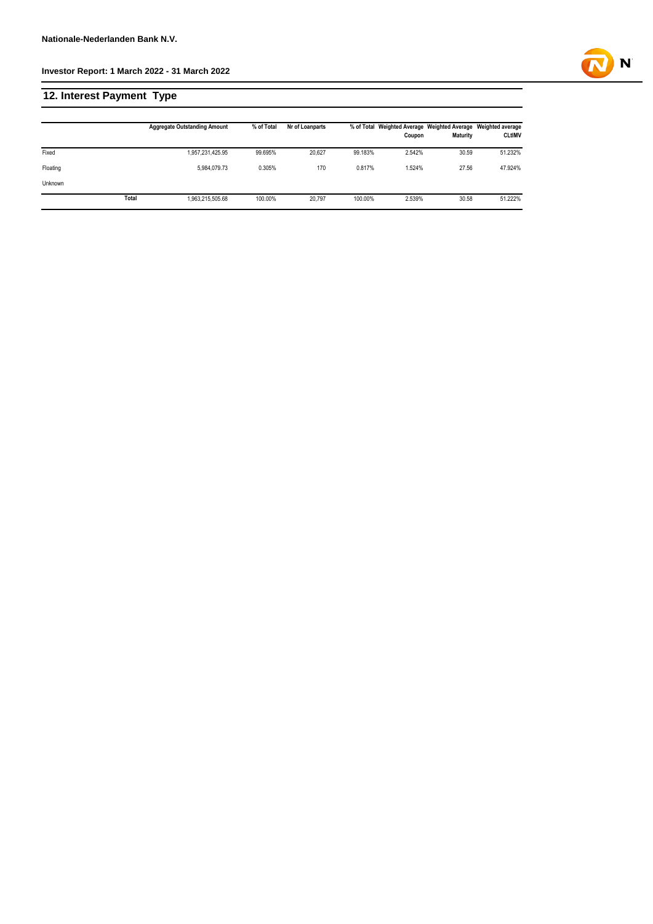# **12. Interest Payment Type**

|          |       | <b>Aggregate Outstanding Amount</b> | % of Total | Nr of Loanparts |         | Coupon | % of Total Weighted Average Weighted Average Weighted average<br><b>Maturity</b> | <b>CLtIMV</b> |
|----------|-------|-------------------------------------|------------|-----------------|---------|--------|----------------------------------------------------------------------------------|---------------|
| Fixed    |       | 1,957,231,425.95                    | 99.695%    | 20.627          | 99.183% | 2.542% | 30.59                                                                            | 51.232%       |
| Floating |       | 5.984.079.73                        | 0.305%     | 170             | 0.817%  | 1.524% | 27.56                                                                            | 47.924%       |
| Unknown  |       |                                     |            |                 |         |        |                                                                                  |               |
|          | Total | 1,963,215,505.68                    | 100.00%    | 20.797          | 100.00% | 2.539% | 30.58                                                                            | 51.222%       |

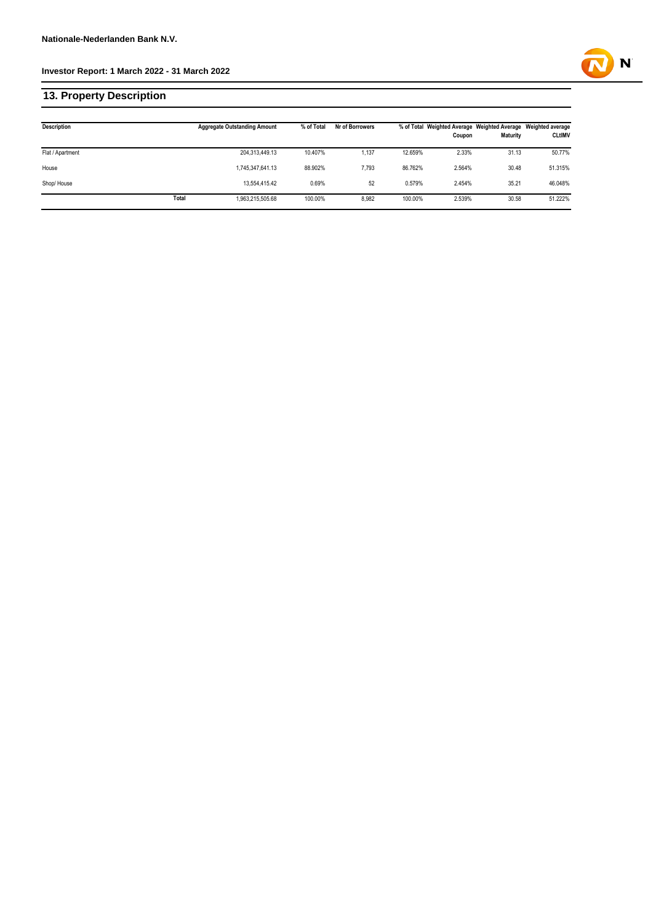# **13. Property Description**

| <b>Description</b> |       | <b>Aggregate Outstanding Amount</b> | % of Total | Nr of Borrowers |         | Coupon | % of Total Weighted Average Weighted Average Weighted average<br>Maturity | <b>CLtIMV</b> |
|--------------------|-------|-------------------------------------|------------|-----------------|---------|--------|---------------------------------------------------------------------------|---------------|
| Flat / Apartment   |       | 204,313,449.13                      | 10.407%    | 1,137           | 12.659% | 2.33%  | 31.13                                                                     | 50.77%        |
| House              |       | 1,745,347,641.13                    | 88.902%    | 7.793           | 86.762% | 2.564% | 30.48                                                                     | 51.315%       |
| Shop/House         |       | 13.554.415.42                       | 0.69%      | 52              | 0.579%  | 2.454% | 35.21                                                                     | 46.048%       |
|                    | Total | 1,963,215,505.68                    | 100.00%    | 8,982           | 100.00% | 2.539% | 30.58                                                                     | 51.222%       |

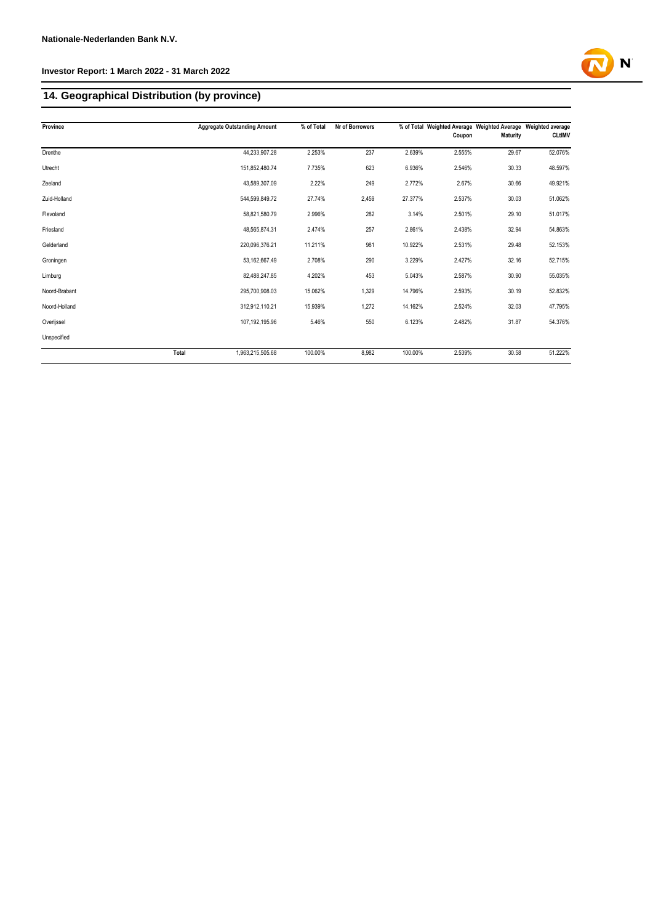# **14. Geographical Distribution (by province)**

| Province      |              | <b>Aggregate Outstanding Amount</b> | % of Total | Nr of Borrowers |         | Coupon | % of Total Weighted Average Weighted Average Weighted average<br>Maturity | <b>CLtIMV</b> |
|---------------|--------------|-------------------------------------|------------|-----------------|---------|--------|---------------------------------------------------------------------------|---------------|
| Drenthe       |              | 44,233,907.28                       | 2.253%     | 237             | 2.639%  | 2.555% | 29.67                                                                     | 52.076%       |
| Utrecht       |              | 151,852,480.74                      | 7.735%     | 623             | 6.936%  | 2.546% | 30.33                                                                     | 48.597%       |
| Zeeland       |              | 43,589,307.09                       | 2.22%      | 249             | 2.772%  | 2.67%  | 30.66                                                                     | 49.921%       |
| Zuid-Holland  |              | 544,599,849.72                      | 27.74%     | 2,459           | 27.377% | 2.537% | 30.03                                                                     | 51.062%       |
| Flevoland     |              | 58,821,580.79                       | 2.996%     | 282             | 3.14%   | 2.501% | 29.10                                                                     | 51.017%       |
| Friesland     |              | 48,565,874.31                       | 2.474%     | 257             | 2.861%  | 2.438% | 32.94                                                                     | 54.863%       |
| Gelderland    |              | 220.096.376.21                      | 11.211%    | 981             | 10.922% | 2.531% | 29.48                                                                     | 52.153%       |
| Groningen     |              | 53,162,667.49                       | 2.708%     | 290             | 3.229%  | 2.427% | 32.16                                                                     | 52.715%       |
| Limburg       |              | 82,488,247.85                       | 4.202%     | 453             | 5.043%  | 2.587% | 30.90                                                                     | 55.035%       |
| Noord-Brabant |              | 295.700.908.03                      | 15.062%    | 1,329           | 14.796% | 2.593% | 30.19                                                                     | 52.832%       |
| Noord-Holland |              | 312,912,110.21                      | 15.939%    | 1,272           | 14.162% | 2.524% | 32.03                                                                     | 47.795%       |
| Overijssel    |              | 107,192,195.96                      | 5.46%      | 550             | 6.123%  | 2.482% | 31.87                                                                     | 54.376%       |
| Unspecified   |              |                                     |            |                 |         |        |                                                                           |               |
|               | <b>Total</b> | 1,963,215,505.68                    | 100.00%    | 8,982           | 100.00% | 2.539% | 30.58                                                                     | 51.222%       |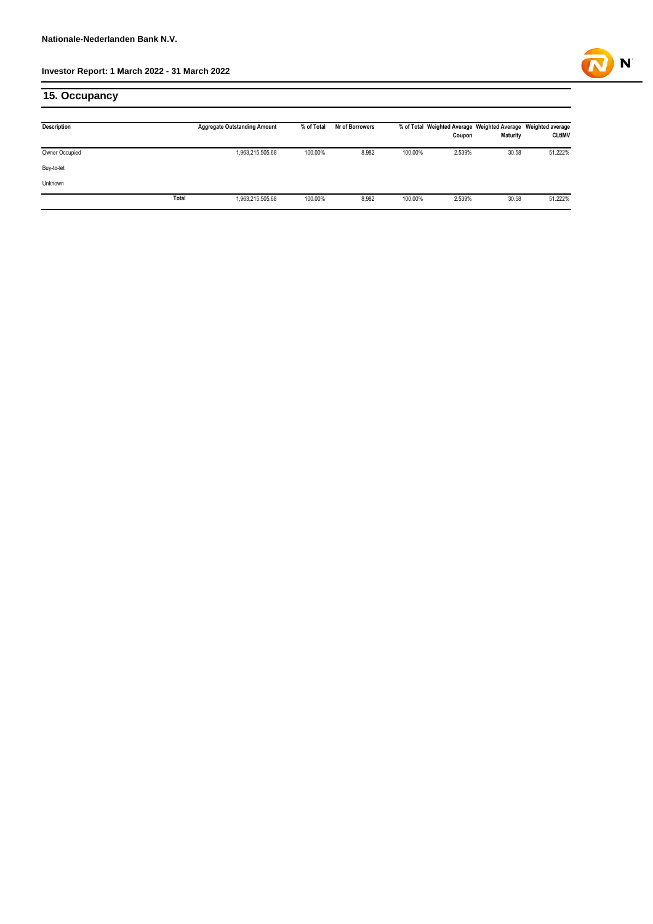

# **15. Occupancy**

| <b>Description</b> |       | <b>Aggregate Outstanding Amount</b> | % of Total | Nr of Borrowers |         | Coupon | % of Total Weighted Average Weighted Average Weighted average<br>Maturity | <b>CLtIMV</b> |
|--------------------|-------|-------------------------------------|------------|-----------------|---------|--------|---------------------------------------------------------------------------|---------------|
| Owner Occupied     |       | 1,963,215,505.68                    | 100.00%    | 8,982           | 100.00% | 2.539% | 30.58                                                                     | 51.222%       |
| Buy-to-let         |       |                                     |            |                 |         |        |                                                                           |               |
| Unknown            |       |                                     |            |                 |         |        |                                                                           |               |
|                    | Total | 1,963,215,505.68                    | 100.00%    | 8,982           | 100.00% | 2.539% | 30.58                                                                     | 51.222%       |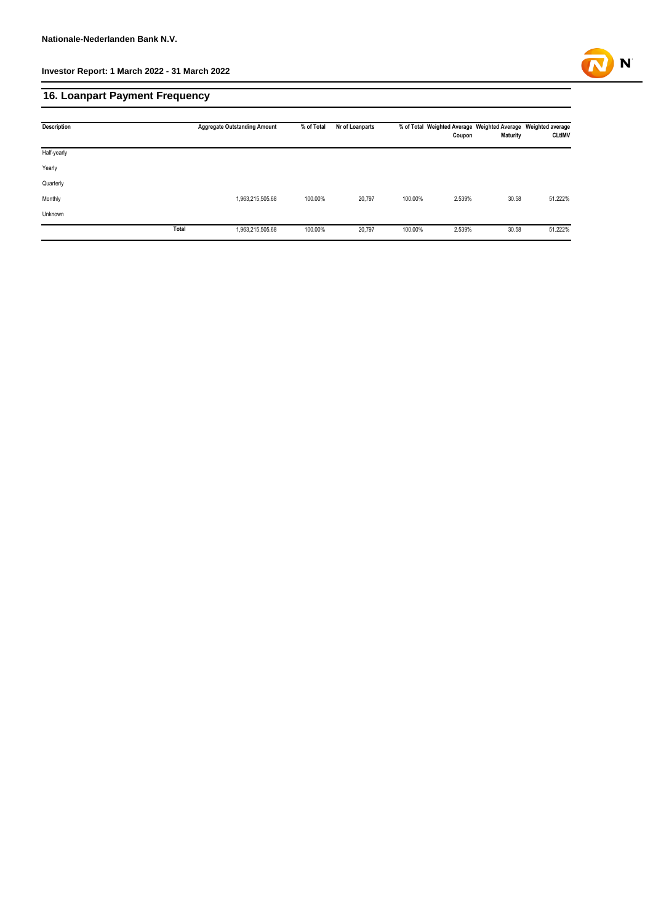

# **16. Loanpart Payment Frequency**

| <b>Description</b> |       | <b>Aggregate Outstanding Amount</b> | % of Total | Nr of Loanparts |         | Coupon | % of Total Weighted Average Weighted Average Weighted average<br>Maturity | <b>CLtIMV</b> |
|--------------------|-------|-------------------------------------|------------|-----------------|---------|--------|---------------------------------------------------------------------------|---------------|
| Half-yearly        |       |                                     |            |                 |         |        |                                                                           |               |
| Yearly             |       |                                     |            |                 |         |        |                                                                           |               |
| Quarterly          |       |                                     |            |                 |         |        |                                                                           |               |
| Monthly            |       | 1,963,215,505.68                    | 100.00%    | 20,797          | 100.00% | 2.539% | 30.58                                                                     | 51.222%       |
| Unknown            |       |                                     |            |                 |         |        |                                                                           |               |
|                    | Total | 1,963,215,505.68                    | 100.00%    | 20,797          | 100.00% | 2.539% | 30.58                                                                     | 51.222%       |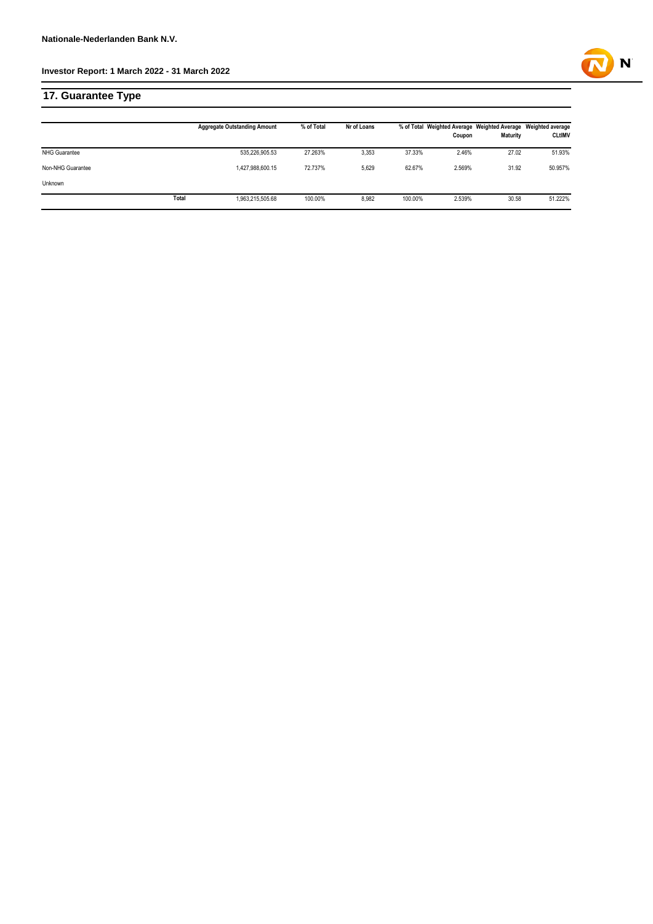# **17. Guarantee Type**

|                      |       | <b>Aggregate Outstanding Amount</b> | % of Total | Nr of Loans |         | Coupon | % of Total Weighted Average Weighted Average Weighted average<br><b>Maturity</b> | <b>CLtIMV</b> |
|----------------------|-------|-------------------------------------|------------|-------------|---------|--------|----------------------------------------------------------------------------------|---------------|
| <b>NHG Guarantee</b> |       | 535,226,905.53                      | 27.263%    | 3,353       | 37.33%  | 2.46%  | 27.02                                                                            | 51.93%        |
| Non-NHG Guarantee    |       | 1,427,988,600.15                    | 72.737%    | 5.629       | 62.67%  | 2.569% | 31.92                                                                            | 50.957%       |
| Unknown              |       |                                     |            |             |         |        |                                                                                  |               |
|                      | Total | 1,963,215,505.68                    | 100.00%    | 8.982       | 100.00% | 2.539% | 30.58                                                                            | 51.222%       |

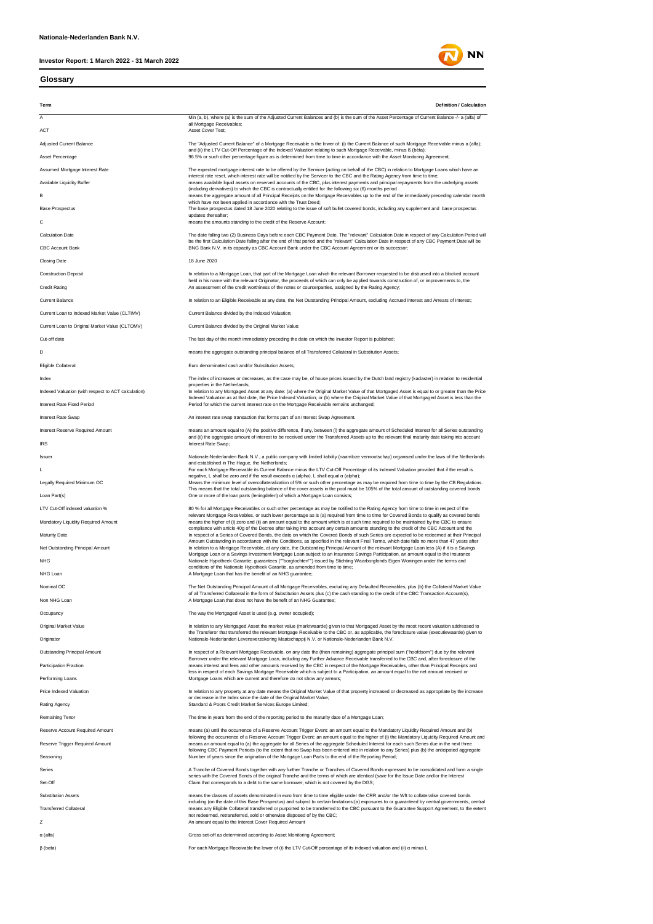#### **Glossary**



**NN** 

α (alfa) Gross set-off as determined according to Asset Monitoring Agreement;

β (beta) For each Mortgage Receivable the lower of (i) the LTV Cut-Off percentage of its indexed valuation and (ii) α minus L